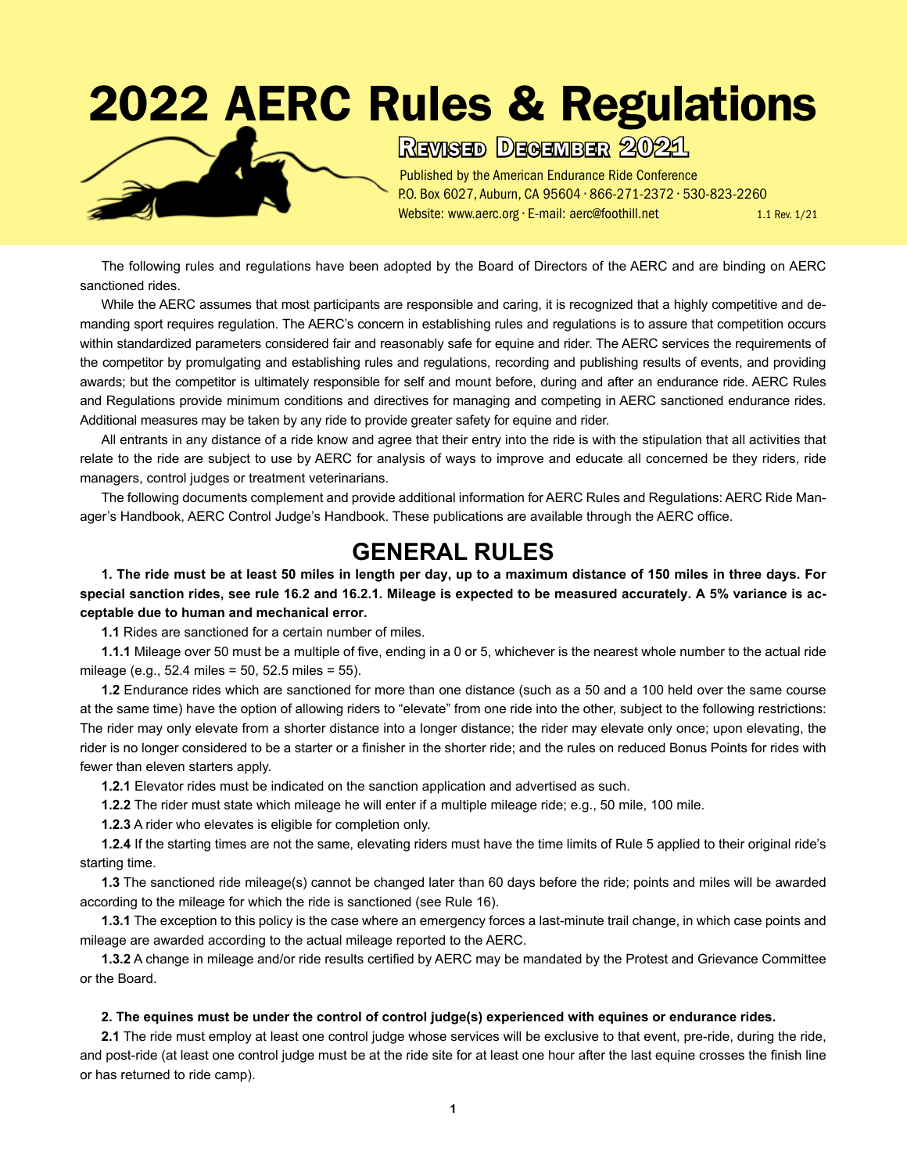# 2022 AERC Rules & Regulations



Revised December 2021

Published by the American Endurance Ride Conference P.O. Box 6027, Auburn, CA 95604 • 866-271-2372 • 530-823-2260 Website: www.aerc.org · E-mail: aerc@foothill.net 1.1 Rev. 1/21

The following rules and regulations have been adopted by the Board of Directors of the AERC and are binding on AERC sanctioned rides.

While the AERC assumes that most participants are responsible and caring, it is recognized that a highly competitive and demanding sport requires regulation. The AERC's concern in establishing rules and regulations is to assure that competition occurs within standardized parameters considered fair and reasonably safe for equine and rider. The AERC services the requirements of the competitor by promulgating and establishing rules and regulations, recording and publishing results of events, and providing awards; but the competitor is ultimately responsible for self and mount before, during and after an endurance ride. AERC Rules and Regulations provide minimum conditions and directives for managing and competing in AERC sanctioned endurance rides. Additional measures may be taken by any ride to provide greater safety for equine and rider.

All entrants in any distance of a ride know and agree that their entry into the ride is with the stipulation that all activities that relate to the ride are subject to use by AERC for analysis of ways to improve and educate all concerned be they riders, ride managers, control judges or treatment veterinarians.

The following documents complement and provide additional information for AERC Rules and Regulations: AERC Ride Manager's Handbook, AERC Control Judge's Handbook. These publications are available through the AERC office.

# **GENERAL RULES**

**1. The ride must be at least 50 miles in length per day, up to a maximum distance of 150 miles in three days. For special sanction rides, see rule 16.2 and 16.2.1. Mileage is expected to be measured accurately. A 5% variance is acceptable due to human and mechanical error.**

**1.1** Rides are sanctioned for a certain number of miles.

**1.1.1** Mileage over 50 must be a multiple of five, ending in a 0 or 5, whichever is the nearest whole number to the actual ride mileage (e.g., 52.4 miles = 50, 52.5 miles = 55).

**1.2** Endurance rides which are sanctioned for more than one distance (such as a 50 and a 100 held over the same course at the same time) have the option of allowing riders to "elevate" from one ride into the other, subject to the following restrictions: The rider may only elevate from a shorter distance into a longer distance; the rider may elevate only once; upon elevating, the rider is no longer considered to be a starter or a finisher in the shorter ride; and the rules on reduced Bonus Points for rides with fewer than eleven starters apply.

**1.2.1** Elevator rides must be indicated on the sanction application and advertised as such.

**1.2.2** The rider must state which mileage he will enter if a multiple mileage ride; e.g., 50 mile, 100 mile.

**1.2.3** A rider who elevates is eligible for completion only.

**1.2.4** If the starting times are not the same, elevating riders must have the time limits of Rule 5 applied to their original ride's starting time.

**1.3** The sanctioned ride mileage(s) cannot be changed later than 60 days before the ride; points and miles will be awarded according to the mileage for which the ride is sanctioned (see Rule 16).

**1.3.1** The exception to this policy is the case where an emergency forces a last-minute trail change, in which case points and mileage are awarded according to the actual mileage reported to the AERC.

**1.3.2** A change in mileage and/or ride results certified by AERC may be mandated by the Protest and Grievance Committee or the Board.

#### **2. The equines must be under the control of control judge(s) experienced with equines or endurance rides.**

**2.1** The ride must employ at least one control judge whose services will be exclusive to that event, pre-ride, during the ride, and post-ride (at least one control judge must be at the ride site for at least one hour after the last equine crosses the finish line or has returned to ride camp).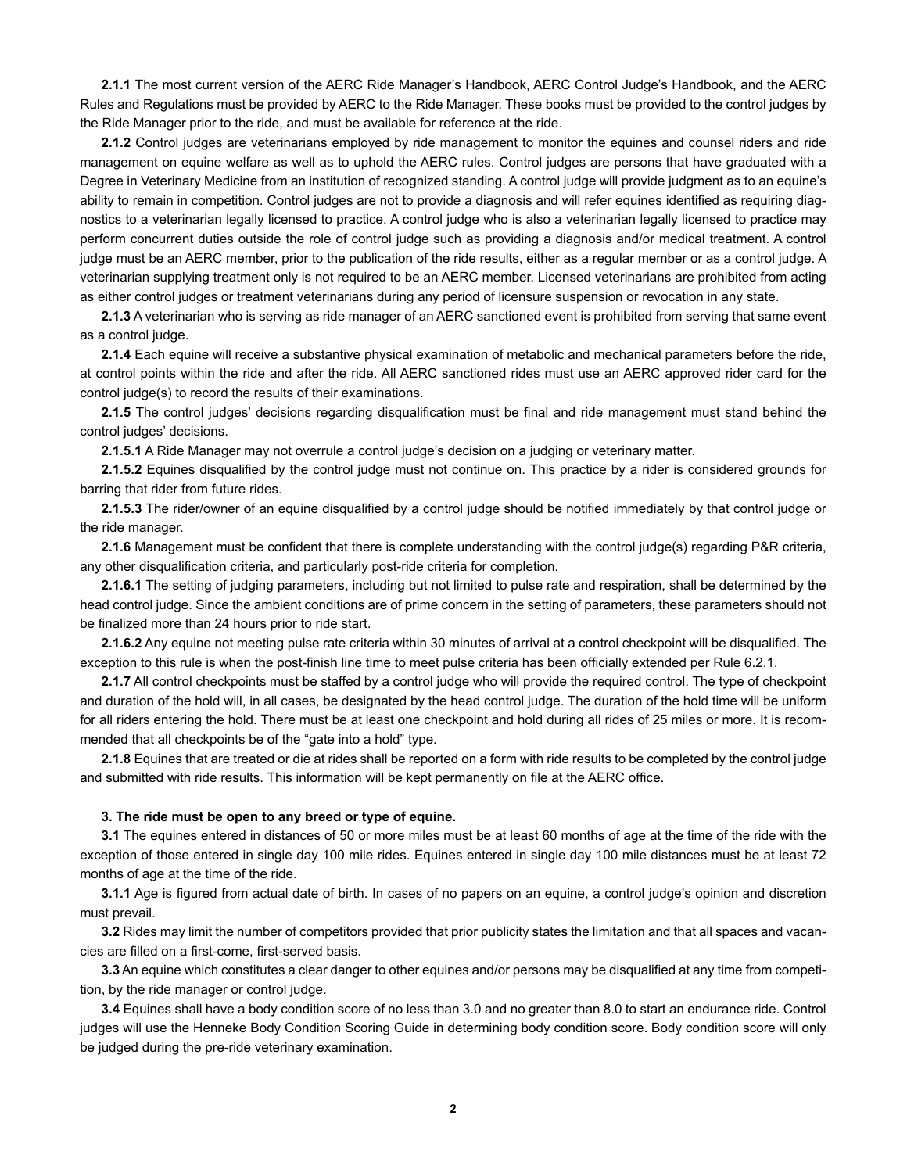**2.1.1** The most current version of the AERC Ride Manager's Handbook, AERC Control Judge's Handbook, and the AERC Rules and Regulations must be provided by AERC to the Ride Manager. These books must be provided to the control judges by the Ride Manager prior to the ride, and must be available for reference at the ride.

**2.1.2** Control judges are veterinarians employed by ride management to monitor the equines and counsel riders and ride management on equine welfare as well as to uphold the AERC rules. Control judges are persons that have graduated with a Degree in Veterinary Medicine from an institution of recognized standing. A control judge will provide judgment as to an equine's ability to remain in competition. Control judges are not to provide a diagnosis and will refer equines identified as requiring diagnostics to a veterinarian legally licensed to practice. A control judge who is also a veterinarian legally licensed to practice may perform concurrent duties outside the role of control judge such as providing a diagnosis and/or medical treatment. A control judge must be an AERC member, prior to the publication of the ride results, either as a regular member or as a control judge. A veterinarian supplying treatment only is not required to be an AERC member. Licensed veterinarians are prohibited from acting as either control judges or treatment veterinarians during any period of licensure suspension or revocation in any state.

**2.1.3** A veterinarian who is serving as ride manager of an AERC sanctioned event is prohibited from serving that same event as a control judge.

**2.1.4** Each equine will receive a substantive physical examination of metabolic and mechanical parameters before the ride, at control points within the ride and after the ride. All AERC sanctioned rides must use an AERC approved rider card for the control judge(s) to record the results of their examinations.

**2.1.5** The control judges' decisions regarding disqualification must be final and ride management must stand behind the control judges' decisions.

**2.1.5.1** A Ride Manager may not overrule a control judge's decision on a judging or veterinary matter.

**2.1.5.2** Equines disqualified by the control judge must not continue on. This practice by a rider is considered grounds for barring that rider from future rides.

**2.1.5.3** The rider/owner of an equine disqualified by a control judge should be notified immediately by that control judge or the ride manager.

**2.1.6** Management must be confident that there is complete understanding with the control judge(s) regarding P&R criteria, any other disqualification criteria, and particularly post-ride criteria for completion.

**2.1.6.1** The setting of judging parameters, including but not limited to pulse rate and respiration, shall be determined by the head control judge. Since the ambient conditions are of prime concern in the setting of parameters, these parameters should not be finalized more than 24 hours prior to ride start.

**2.1.6.2** Any equine not meeting pulse rate criteria within 30 minutes of arrival at a control checkpoint will be disqualified. The exception to this rule is when the post-finish line time to meet pulse criteria has been officially extended per Rule 6.2.1.

**2.1.7** All control checkpoints must be staffed by a control judge who will provide the required control. The type of checkpoint and duration of the hold will, in all cases, be designated by the head control judge. The duration of the hold time will be uniform for all riders entering the hold. There must be at least one checkpoint and hold during all rides of 25 miles or more. It is recommended that all checkpoints be of the "gate into a hold" type.

**2.1.8** Equines that are treated or die at rides shall be reported on a form with ride results to be completed by the control judge and submitted with ride results. This information will be kept permanently on file at the AERC office.

#### **3. The ride must be open to any breed or type of equine.**

**3.1** The equines entered in distances of 50 or more miles must be at least 60 months of age at the time of the ride with the exception of those entered in single day 100 mile rides. Equines entered in single day 100 mile distances must be at least 72 months of age at the time of the ride.

**3.1.1** Age is figured from actual date of birth. In cases of no papers on an equine, a control judge's opinion and discretion must prevail.

**3.2** Rides may limit the number of competitors provided that prior publicity states the limitation and that all spaces and vacancies are filled on a first-come, first-served basis.

**3.3** An equine which constitutes a clear danger to other equines and/or persons may be disqualified at any time from competition, by the ride manager or control judge.

**3.4** Equines shall have a body condition score of no less than 3.0 and no greater than 8.0 to start an endurance ride. Control judges will use the Henneke Body Condition Scoring Guide in determining body condition score. Body condition score will only be judged during the pre-ride veterinary examination.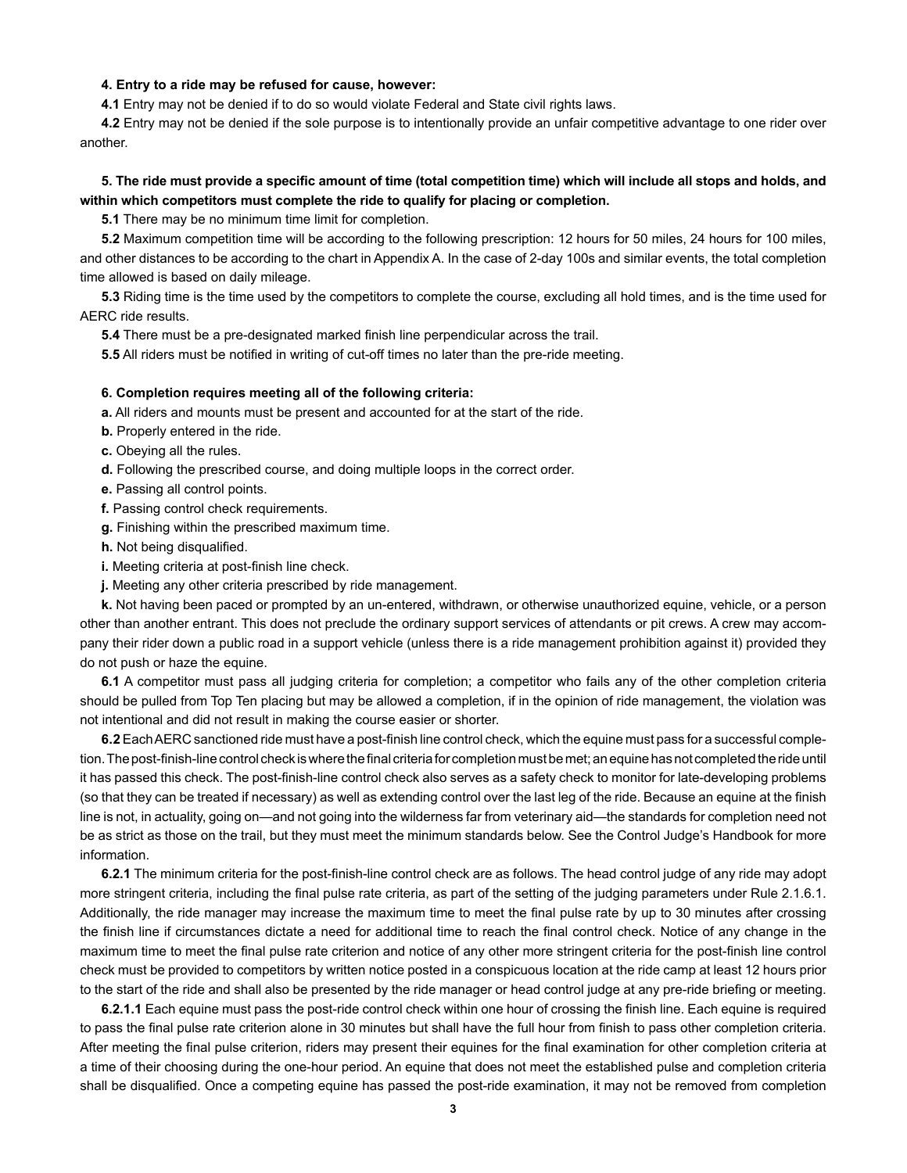#### **4. Entry to a ride may be refused for cause, however:**

**4.1** Entry may not be denied if to do so would violate Federal and State civil rights laws.

**4.2** Entry may not be denied if the sole purpose is to intentionally provide an unfair competitive advantage to one rider over another.

## **5. The ride must provide a specific amount of time (total competition time) which will include all stops and holds, and within which competitors must complete the ride to qualify for placing or completion.**

**5.1** There may be no minimum time limit for completion.

**5.2** Maximum competition time will be according to the following prescription: 12 hours for 50 miles, 24 hours for 100 miles, and other distances to be according to the chart in Appendix A. In the case of 2-day 100s and similar events, the total completion time allowed is based on daily mileage.

**5.3** Riding time is the time used by the competitors to complete the course, excluding all hold times, and is the time used for AERC ride results.

**5.4** There must be a pre-designated marked finish line perpendicular across the trail.

**5.5** All riders must be notified in writing of cut-off times no later than the pre-ride meeting.

#### **6. Completion requires meeting all of the following criteria:**

**a.** All riders and mounts must be present and accounted for at the start of the ride.

- **b.** Properly entered in the ride.
- **c.** Obeying all the rules.
- **d.** Following the prescribed course, and doing multiple loops in the correct order.
- **e.** Passing all control points.
- **f.** Passing control check requirements.

**g.** Finishing within the prescribed maximum time.

- **h.** Not being disqualified.
- **i.** Meeting criteria at post-finish line check.
- **j.** Meeting any other criteria prescribed by ride management.

**k.** Not having been paced or prompted by an un-entered, withdrawn, or otherwise unauthorized equine, vehicle, or a person other than another entrant. This does not preclude the ordinary support services of attendants or pit crews. A crew may accompany their rider down a public road in a support vehicle (unless there is a ride management prohibition against it) provided they do not push or haze the equine.

**6.1** A competitor must pass all judging criteria for completion; a competitor who fails any of the other completion criteria should be pulled from Top Ten placing but may be allowed a completion, if in the opinion of ride management, the violation was not intentional and did not result in making the course easier or shorter.

**6.2** Each AERC sanctioned ride must have a post-finish line control check, which the equine must pass for a successful completion. The post-finish-line control check is where the final criteria for completion must be met; an equine has not completed the ride until it has passed this check. The post-finish-line control check also serves as a safety check to monitor for late-developing problems (so that they can be treated if necessary) as well as extending control over the last leg of the ride. Because an equine at the finish line is not, in actuality, going on—and not going into the wilderness far from veterinary aid—the standards for completion need not be as strict as those on the trail, but they must meet the minimum standards below. See the Control Judge's Handbook for more information.

**6.2.1** The minimum criteria for the post-finish-line control check are as follows. The head control judge of any ride may adopt more stringent criteria, including the final pulse rate criteria, as part of the setting of the judging parameters under Rule 2.1.6.1. Additionally, the ride manager may increase the maximum time to meet the final pulse rate by up to 30 minutes after crossing the finish line if circumstances dictate a need for additional time to reach the final control check. Notice of any change in the maximum time to meet the final pulse rate criterion and notice of any other more stringent criteria for the post-finish line control check must be provided to competitors by written notice posted in a conspicuous location at the ride camp at least 12 hours prior to the start of the ride and shall also be presented by the ride manager or head control judge at any pre-ride briefing or meeting.

**6.2.1.1** Each equine must pass the post-ride control check within one hour of crossing the finish line. Each equine is required to pass the final pulse rate criterion alone in 30 minutes but shall have the full hour from finish to pass other completion criteria. After meeting the final pulse criterion, riders may present their equines for the final examination for other completion criteria at a time of their choosing during the one-hour period. An equine that does not meet the established pulse and completion criteria shall be disqualified. Once a competing equine has passed the post-ride examination, it may not be removed from completion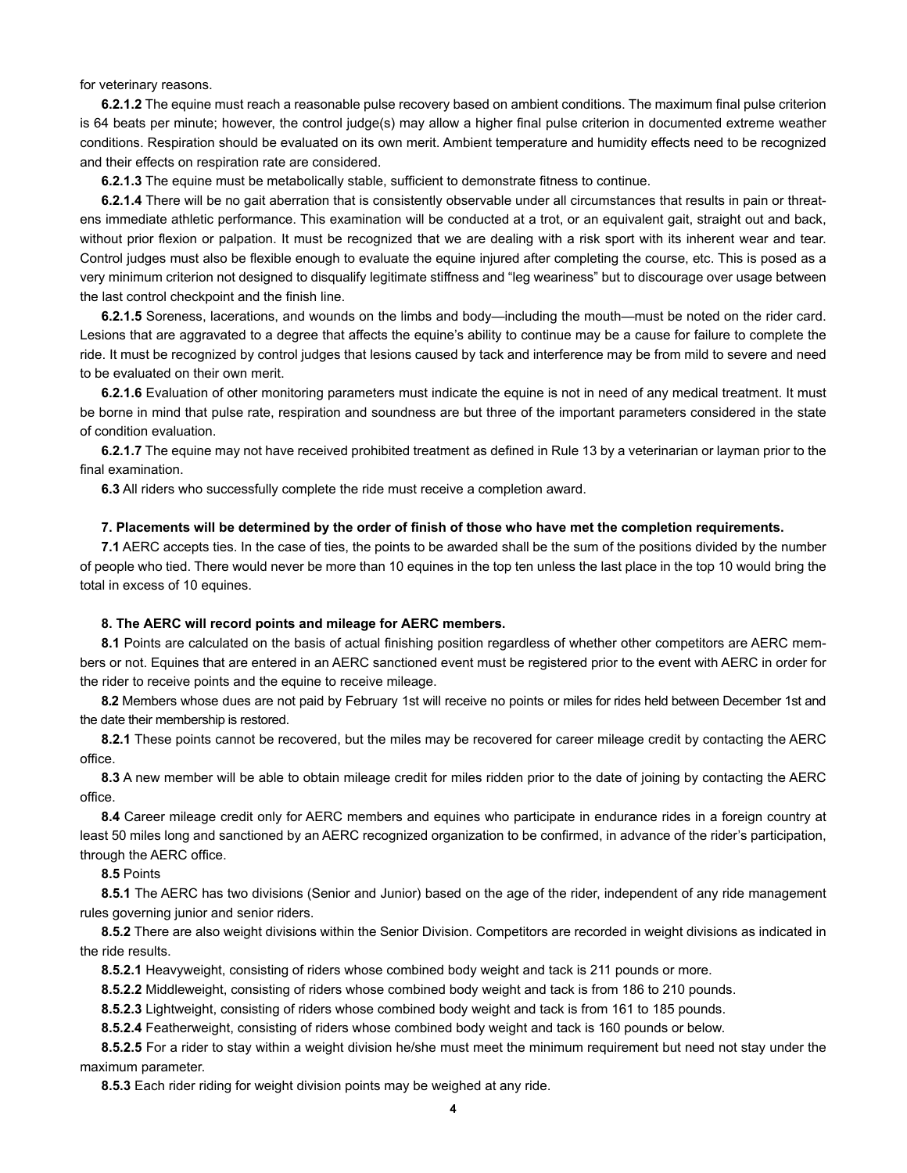for veterinary reasons.

**6.2.1.2** The equine must reach a reasonable pulse recovery based on ambient conditions. The maximum final pulse criterion is 64 beats per minute; however, the control judge(s) may allow a higher final pulse criterion in documented extreme weather conditions. Respiration should be evaluated on its own merit. Ambient temperature and humidity effects need to be recognized and their effects on respiration rate are considered.

**6.2.1.3** The equine must be metabolically stable, sufficient to demonstrate fitness to continue.

**6.2.1.4** There will be no gait aberration that is consistently observable under all circumstances that results in pain or threatens immediate athletic performance. This examination will be conducted at a trot, or an equivalent gait, straight out and back, without prior flexion or palpation. It must be recognized that we are dealing with a risk sport with its inherent wear and tear. Control judges must also be flexible enough to evaluate the equine injured after completing the course, etc. This is posed as a very minimum criterion not designed to disqualify legitimate stiffness and "leg weariness" but to discourage over usage between the last control checkpoint and the finish line.

**6.2.1.5** Soreness, lacerations, and wounds on the limbs and body—including the mouth—must be noted on the rider card. Lesions that are aggravated to a degree that affects the equine's ability to continue may be a cause for failure to complete the ride. It must be recognized by control judges that lesions caused by tack and interference may be from mild to severe and need to be evaluated on their own merit.

**6.2.1.6** Evaluation of other monitoring parameters must indicate the equine is not in need of any medical treatment. It must be borne in mind that pulse rate, respiration and soundness are but three of the important parameters considered in the state of condition evaluation.

**6.2.1.7** The equine may not have received prohibited treatment as defined in Rule 13 by a veterinarian or layman prior to the final examination.

**6.3** All riders who successfully complete the ride must receive a completion award.

#### **7. Placements will be determined by the order of finish of those who have met the completion requirements.**

**7.1** AERC accepts ties. In the case of ties, the points to be awarded shall be the sum of the positions divided by the number of people who tied. There would never be more than 10 equines in the top ten unless the last place in the top 10 would bring the total in excess of 10 equines.

#### **8. The AERC will record points and mileage for AERC members.**

**8.1** Points are calculated on the basis of actual finishing position regardless of whether other competitors are AERC members or not. Equines that are entered in an AERC sanctioned event must be registered prior to the event with AERC in order for the rider to receive points and the equine to receive mileage.

**8.2** Members whose dues are not paid by February 1st will receive no points or miles for rides held between December 1st and the date their membership is restored.

**8.2.1** These points cannot be recovered, but the miles may be recovered for career mileage credit by contacting the AERC office.

**8.3** A new member will be able to obtain mileage credit for miles ridden prior to the date of joining by contacting the AERC office.

**8.4** Career mileage credit only for AERC members and equines who participate in endurance rides in a foreign country at least 50 miles long and sanctioned by an AERC recognized organization to be confirmed, in advance of the rider's participation, through the AERC office.

**8.5** Points

**8.5.1** The AERC has two divisions (Senior and Junior) based on the age of the rider, independent of any ride management rules governing junior and senior riders.

**8.5.2** There are also weight divisions within the Senior Division. Competitors are recorded in weight divisions as indicated in the ride results.

**8.5.2.1** Heavyweight, consisting of riders whose combined body weight and tack is 211 pounds or more.

**8.5.2.2** Middleweight, consisting of riders whose combined body weight and tack is from 186 to 210 pounds.

**8.5.2.3** Lightweight, consisting of riders whose combined body weight and tack is from 161 to 185 pounds.

**8.5.2.4** Featherweight, consisting of riders whose combined body weight and tack is 160 pounds or below.

**8.5.2.5** For a rider to stay within a weight division he/she must meet the minimum requirement but need not stay under the maximum parameter.

**8.5.3** Each rider riding for weight division points may be weighed at any ride.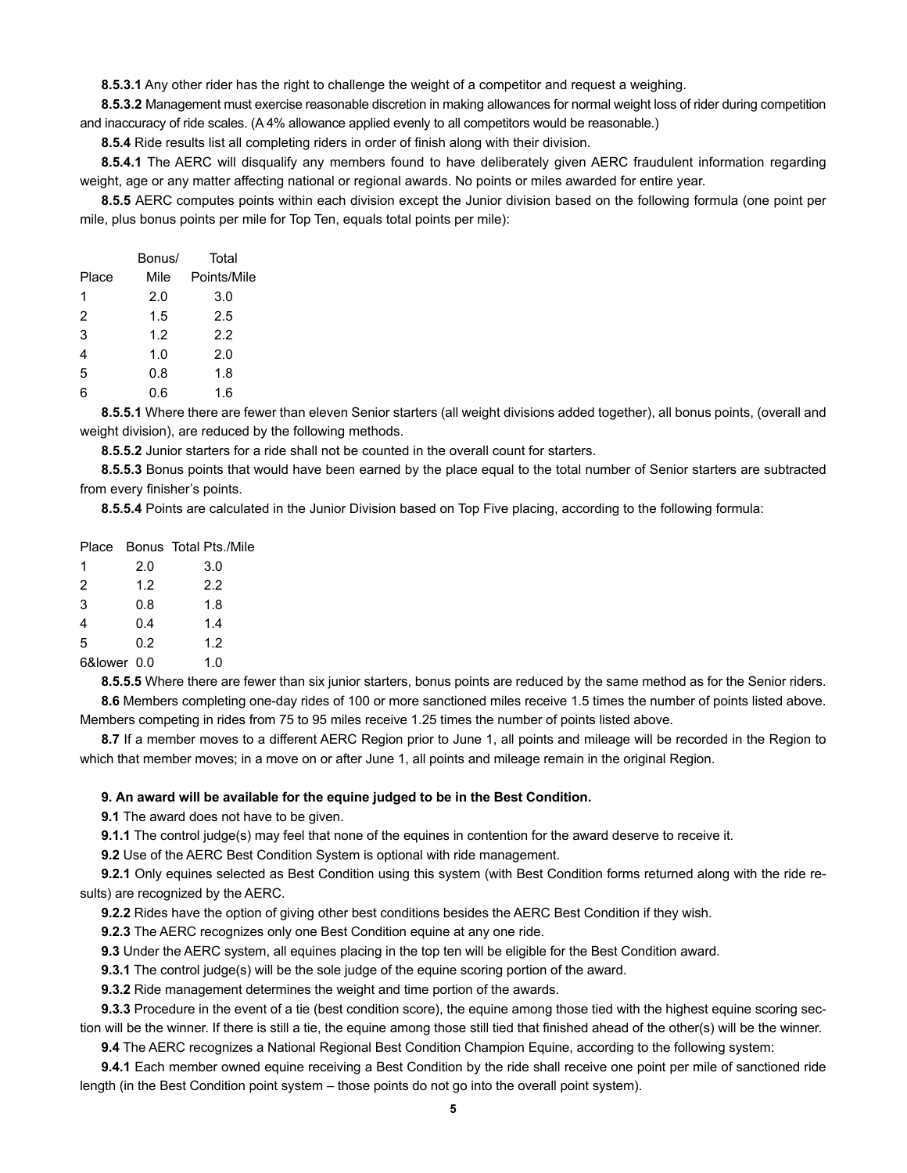**8.5.3.1** Any other rider has the right to challenge the weight of a competitor and request a weighing.

**8.5.3.2** Management must exercise reasonable discretion in making allowances for normal weight loss of rider during competition and inaccuracy of ride scales. (A 4% allowance applied evenly to all competitors would be reasonable.)

**8.5.4** Ride results list all completing riders in order of finish along with their division.

**8.5.4.1** The AERC will disqualify any members found to have deliberately given AERC fraudulent information regarding weight, age or any matter affecting national or regional awards. No points or miles awarded for entire year.

**8.5.5** AERC computes points within each division except the Junior division based on the following formula (one point per mile, plus bonus points per mile for Top Ten, equals total points per mile):

|       | Bonus/ | Total       |
|-------|--------|-------------|
| Place | Mile   | Points/Mile |
| 1     | 2.0    | 3.0         |
| 2     | 1.5    | 2.5         |
| 3     | 1.2    | 2.2         |
| 4     | 1.0    | 2.0         |
| 5     | 0.8    | 1.8         |
| 6     | 0.6    | 1.6         |

**8.5.5.1** Where there are fewer than eleven Senior starters (all weight divisions added together), all bonus points, (overall and weight division), are reduced by the following methods.

**8.5.5.2** Junior starters for a ride shall not be counted in the overall count for starters.

**8.5.5.3** Bonus points that would have been earned by the place equal to the total number of Senior starters are subtracted from every finisher's points.

**8.5.5.4** Points are calculated in the Junior Division based on Top Five placing, according to the following formula:

|                |     | Place Bonus Total Pts./Mile |
|----------------|-----|-----------------------------|
| 1              | 2.0 | 3.0                         |
| 2              | 1.2 | 2.2                         |
| 3              | 0.8 | 1.8                         |
| $\overline{4}$ | 0.4 | 1.4                         |
| 5              | 0.2 | 1.2                         |
| 6&lower 0.0    |     | 1.0                         |

**8.5.5.5** Where there are fewer than six junior starters, bonus points are reduced by the same method as for the Senior riders. **8.6** Members completing one-day rides of 100 or more sanctioned miles receive 1.5 times the number of points listed above.

Members competing in rides from 75 to 95 miles receive 1.25 times the number of points listed above.

**8.7** If a member moves to a different AERC Region prior to June 1, all points and mileage will be recorded in the Region to which that member moves; in a move on or after June 1, all points and mileage remain in the original Region.

#### **9. An award will be available for the equine judged to be in the Best Condition.**

**9.1** The award does not have to be given.

**9.1.1** The control judge(s) may feel that none of the equines in contention for the award deserve to receive it.

**9.2** Use of the AERC Best Condition System is optional with ride management.

**9.2.1** Only equines selected as Best Condition using this system (with Best Condition forms returned along with the ride results) are recognized by the AERC.

**9.2.2** Rides have the option of giving other best conditions besides the AERC Best Condition if they wish.

**9.2.3** The AERC recognizes only one Best Condition equine at any one ride.

**9.3** Under the AERC system, all equines placing in the top ten will be eligible for the Best Condition award.

**9.3.1** The control judge(s) will be the sole judge of the equine scoring portion of the award.

**9.3.2** Ride management determines the weight and time portion of the awards.

**9.3.3** Procedure in the event of a tie (best condition score), the equine among those tied with the highest equine scoring section will be the winner. If there is still a tie, the equine among those still tied that finished ahead of the other(s) will be the winner.

**9.4** The AERC recognizes a National Regional Best Condition Champion Equine, according to the following system:

**9.4.1** Each member owned equine receiving a Best Condition by the ride shall receive one point per mile of sanctioned ride length (in the Best Condition point system – those points do not go into the overall point system).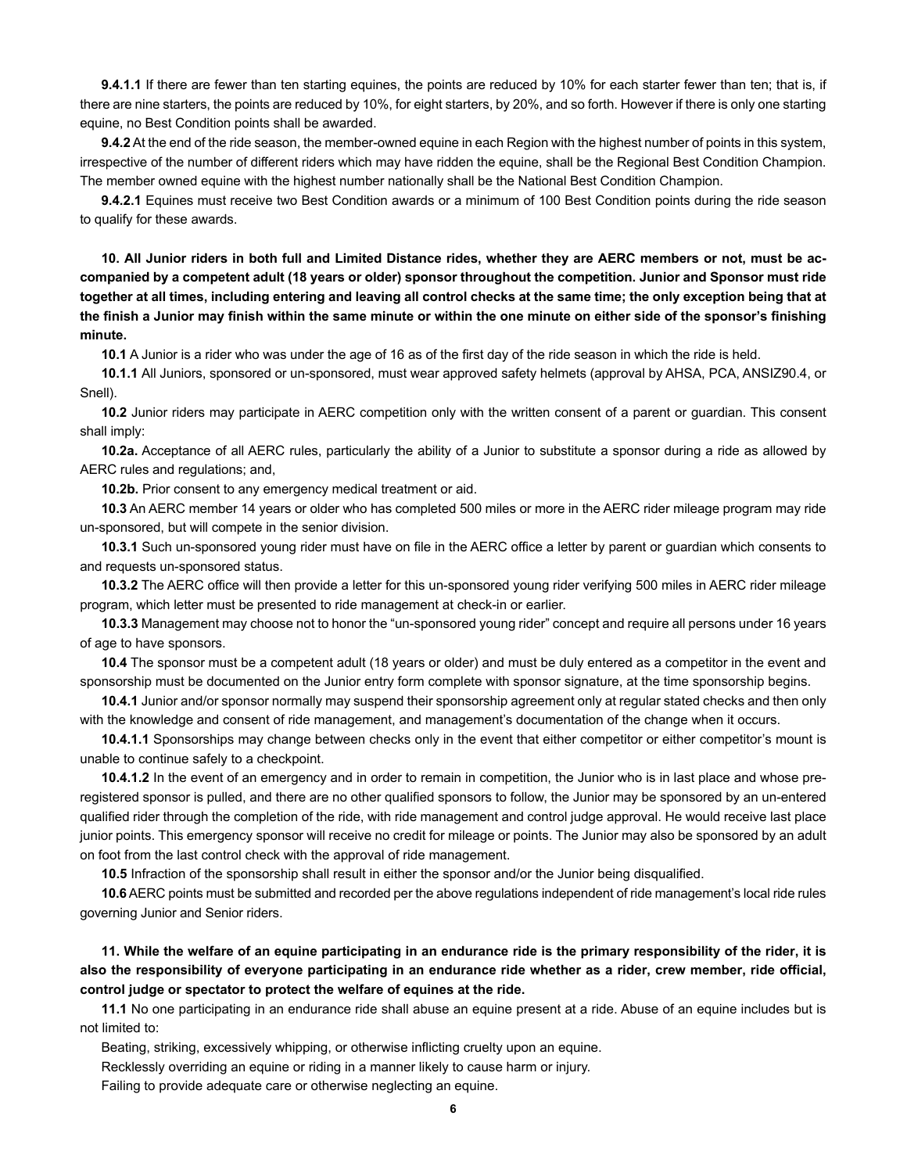**9.4.1.1** If there are fewer than ten starting equines, the points are reduced by 10% for each starter fewer than ten; that is, if there are nine starters, the points are reduced by 10%, for eight starters, by 20%, and so forth. However if there is only one starting equine, no Best Condition points shall be awarded.

**9.4.2** At the end of the ride season, the member-owned equine in each Region with the highest number of points in this system, irrespective of the number of different riders which may have ridden the equine, shall be the Regional Best Condition Champion. The member owned equine with the highest number nationally shall be the National Best Condition Champion.

**9.4.2.1** Equines must receive two Best Condition awards or a minimum of 100 Best Condition points during the ride season to qualify for these awards.

**10. All Junior riders in both full and Limited Distance rides, whether they are AERC members or not, must be accompanied by a competent adult (18 years or older) sponsor throughout the competition. Junior and Sponsor must ride together at all times, including entering and leaving all control checks at the same time; the only exception being that at the finish a Junior may finish within the same minute or within the one minute on either side of the sponsor's finishing minute.**

**10.1** A Junior is a rider who was under the age of 16 as of the first day of the ride season in which the ride is held.

**10.1.1** All Juniors, sponsored or un-sponsored, must wear approved safety helmets (approval by AHSA, PCA, ANSIZ90.4, or Snell).

**10.2** Junior riders may participate in AERC competition only with the written consent of a parent or quardian. This consent shall imply:

**10.2a.** Acceptance of all AERC rules, particularly the ability of a Junior to substitute a sponsor during a ride as allowed by AERC rules and regulations; and,

**10.2b.** Prior consent to any emergency medical treatment or aid.

**10.3** An AERC member 14 years or older who has completed 500 miles or more in the AERC rider mileage program may ride un-sponsored, but will compete in the senior division.

**10.3.1** Such un-sponsored young rider must have on file in the AERC office a letter by parent or guardian which consents to and requests un-sponsored status.

**10.3.2** The AERC office will then provide a letter for this un-sponsored young rider verifying 500 miles in AERC rider mileage program, which letter must be presented to ride management at check-in or earlier.

**10.3.3** Management may choose not to honor the "un-sponsored young rider" concept and require all persons under 16 years of age to have sponsors.

**10.4** The sponsor must be a competent adult (18 years or older) and must be duly entered as a competitor in the event and sponsorship must be documented on the Junior entry form complete with sponsor signature, at the time sponsorship begins.

**10.4.1** Junior and/or sponsor normally may suspend their sponsorship agreement only at regular stated checks and then only with the knowledge and consent of ride management, and management's documentation of the change when it occurs.

**10.4.1.1** Sponsorships may change between checks only in the event that either competitor or either competitor's mount is unable to continue safely to a checkpoint.

**10.4.1.2** In the event of an emergency and in order to remain in competition, the Junior who is in last place and whose preregistered sponsor is pulled, and there are no other qualified sponsors to follow, the Junior may be sponsored by an un-entered qualified rider through the completion of the ride, with ride management and control judge approval. He would receive last place junior points. This emergency sponsor will receive no credit for mileage or points. The Junior may also be sponsored by an adult on foot from the last control check with the approval of ride management.

**10.5** Infraction of the sponsorship shall result in either the sponsor and/or the Junior being disqualified.

**10.6** AERC points must be submitted and recorded per the above regulations independent of ride management's local ride rules governing Junior and Senior riders.

**11. While the welfare of an equine participating in an endurance ride is the primary responsibility of the rider, it is also the responsibility of everyone participating in an endurance ride whether as a rider, crew member, ride official, control judge or spectator to protect the welfare of equines at the ride.** 

**11.1** No one participating in an endurance ride shall abuse an equine present at a ride. Abuse of an equine includes but is not limited to:

Beating, striking, excessively whipping, or otherwise inflicting cruelty upon an equine.

Recklessly overriding an equine or riding in a manner likely to cause harm or injury.

Failing to provide adequate care or otherwise neglecting an equine.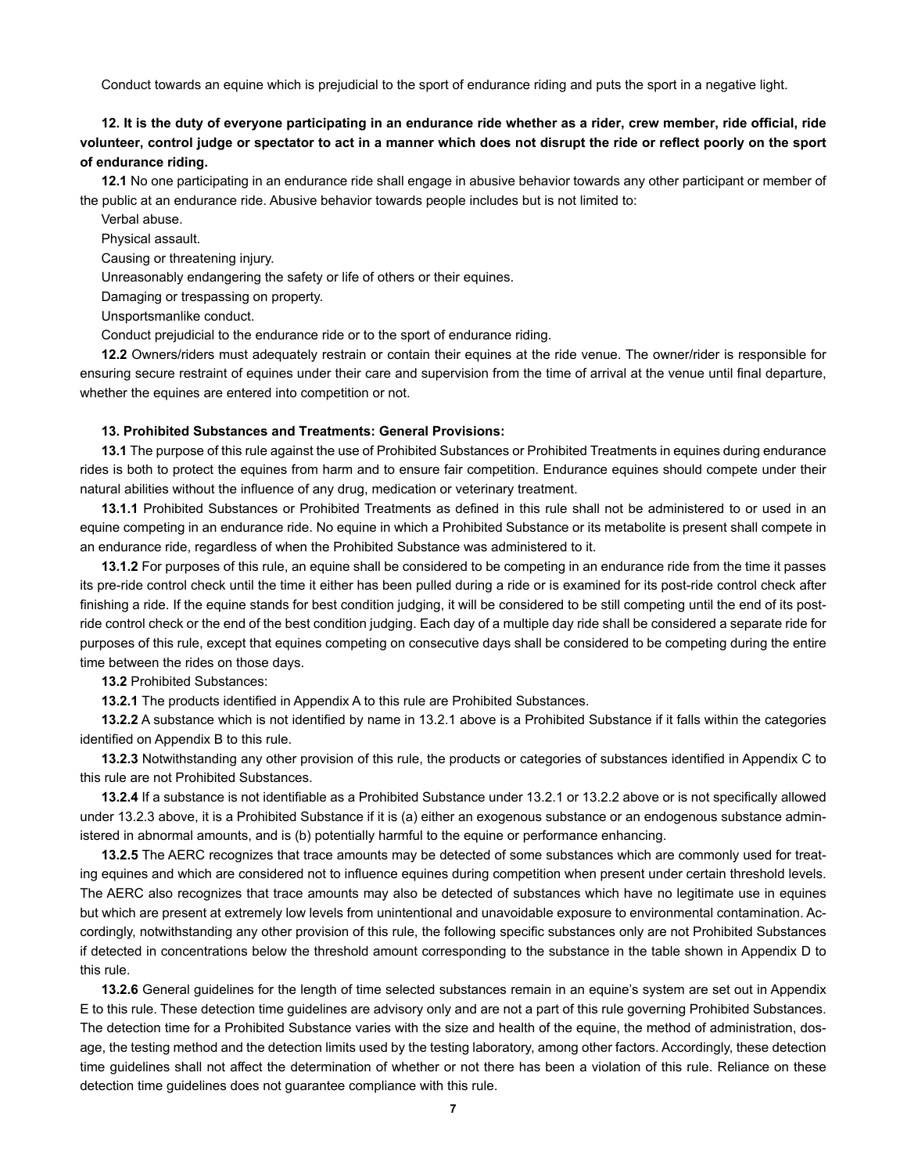Conduct towards an equine which is prejudicial to the sport of endurance riding and puts the sport in a negative light.

# **12. It is the duty of everyone participating in an endurance ride whether as a rider, crew member, ride official, ride volunteer, control judge or spectator to act in a manner which does not disrupt the ride or reflect poorly on the sport of endurance riding.**

**12.1** No one participating in an endurance ride shall engage in abusive behavior towards any other participant or member of the public at an endurance ride. Abusive behavior towards people includes but is not limited to:

Verbal abuse.

Physical assault.

Causing or threatening injury.

Unreasonably endangering the safety or life of others or their equines.

Damaging or trespassing on property.

Unsportsmanlike conduct.

Conduct prejudicial to the endurance ride or to the sport of endurance riding.

**12.2** Owners/riders must adequately restrain or contain their equines at the ride venue. The owner/rider is responsible for ensuring secure restraint of equines under their care and supervision from the time of arrival at the venue until final departure, whether the equines are entered into competition or not.

#### **13. Prohibited Substances and Treatments: General Provisions:**

**13.1** The purpose of this rule against the use of Prohibited Substances or Prohibited Treatments in equines during endurance rides is both to protect the equines from harm and to ensure fair competition. Endurance equines should compete under their natural abilities without the influence of any drug, medication or veterinary treatment.

**13.1.1** Prohibited Substances or Prohibited Treatments as defined in this rule shall not be administered to or used in an equine competing in an endurance ride. No equine in which a Prohibited Substance or its metabolite is present shall compete in an endurance ride, regardless of when the Prohibited Substance was administered to it.

**13.1.2** For purposes of this rule, an equine shall be considered to be competing in an endurance ride from the time it passes its pre-ride control check until the time it either has been pulled during a ride or is examined for its post-ride control check after finishing a ride. If the equine stands for best condition judging, it will be considered to be still competing until the end of its postride control check or the end of the best condition judging. Each day of a multiple day ride shall be considered a separate ride for purposes of this rule, except that equines competing on consecutive days shall be considered to be competing during the entire time between the rides on those days.

**13.2** Prohibited Substances:

**13.2.1** The products identified in Appendix A to this rule are Prohibited Substances.

**13.2.2** A substance which is not identified by name in 13.2.1 above is a Prohibited Substance if it falls within the categories identified on Appendix B to this rule.

**13.2.3** Notwithstanding any other provision of this rule, the products or categories of substances identified in Appendix C to this rule are not Prohibited Substances.

**13.2.4** If a substance is not identifiable as a Prohibited Substance under 13.2.1 or 13.2.2 above or is not specifically allowed under 13.2.3 above, it is a Prohibited Substance if it is (a) either an exogenous substance or an endogenous substance administered in abnormal amounts, and is (b) potentially harmful to the equine or performance enhancing.

**13.2.5** The AERC recognizes that trace amounts may be detected of some substances which are commonly used for treating equines and which are considered not to influence equines during competition when present under certain threshold levels. The AERC also recognizes that trace amounts may also be detected of substances which have no legitimate use in equines but which are present at extremely low levels from unintentional and unavoidable exposure to environmental contamination. Accordingly, notwithstanding any other provision of this rule, the following specific substances only are not Prohibited Substances if detected in concentrations below the threshold amount corresponding to the substance in the table shown in Appendix D to this rule.

**13.2.6** General guidelines for the length of time selected substances remain in an equine's system are set out in Appendix E to this rule. These detection time guidelines are advisory only and are not a part of this rule governing Prohibited Substances. The detection time for a Prohibited Substance varies with the size and health of the equine, the method of administration, dosage, the testing method and the detection limits used by the testing laboratory, among other factors. Accordingly, these detection time guidelines shall not affect the determination of whether or not there has been a violation of this rule. Reliance on these detection time guidelines does not guarantee compliance with this rule.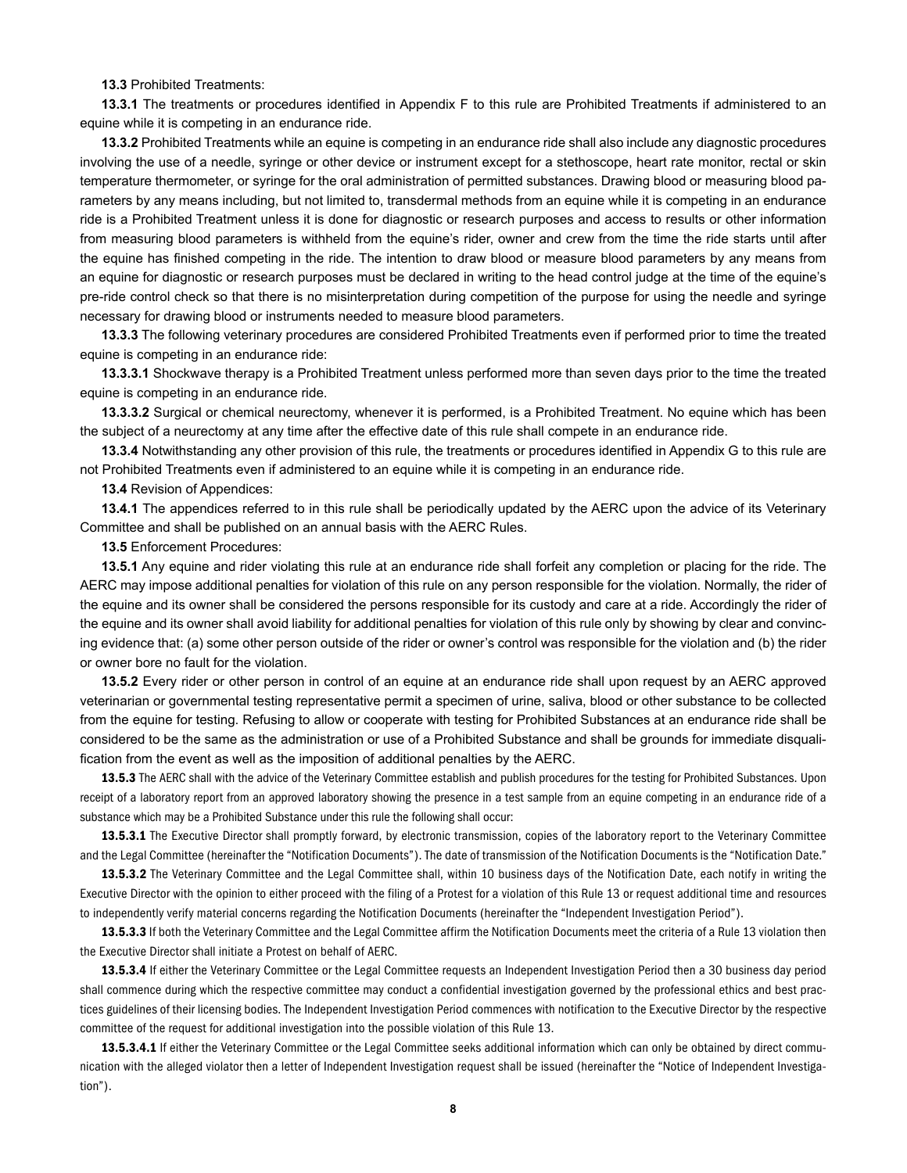#### **13.3** Prohibited Treatments:

**13.3.1** The treatments or procedures identified in Appendix F to this rule are Prohibited Treatments if administered to an equine while it is competing in an endurance ride.

**13.3.2** Prohibited Treatments while an equine is competing in an endurance ride shall also include any diagnostic procedures involving the use of a needle, syringe or other device or instrument except for a stethoscope, heart rate monitor, rectal or skin temperature thermometer, or syringe for the oral administration of permitted substances. Drawing blood or measuring blood parameters by any means including, but not limited to, transdermal methods from an equine while it is competing in an endurance ride is a Prohibited Treatment unless it is done for diagnostic or research purposes and access to results or other information from measuring blood parameters is withheld from the equine's rider, owner and crew from the time the ride starts until after the equine has finished competing in the ride. The intention to draw blood or measure blood parameters by any means from an equine for diagnostic or research purposes must be declared in writing to the head control judge at the time of the equine's pre-ride control check so that there is no misinterpretation during competition of the purpose for using the needle and syringe necessary for drawing blood or instruments needed to measure blood parameters.

**13.3.3** The following veterinary procedures are considered Prohibited Treatments even if performed prior to time the treated equine is competing in an endurance ride:

**13.3.3.1** Shockwave therapy is a Prohibited Treatment unless performed more than seven days prior to the time the treated equine is competing in an endurance ride.

**13.3.3.2** Surgical or chemical neurectomy, whenever it is performed, is a Prohibited Treatment. No equine which has been the subject of a neurectomy at any time after the effective date of this rule shall compete in an endurance ride.

**13.3.4** Notwithstanding any other provision of this rule, the treatments or procedures identified in Appendix G to this rule are not Prohibited Treatments even if administered to an equine while it is competing in an endurance ride.

**13.4** Revision of Appendices:

**13.4.1** The appendices referred to in this rule shall be periodically updated by the AERC upon the advice of its Veterinary Committee and shall be published on an annual basis with the AERC Rules.

**13.5** Enforcement Procedures:

**13.5.1** Any equine and rider violating this rule at an endurance ride shall forfeit any completion or placing for the ride. The AERC may impose additional penalties for violation of this rule on any person responsible for the violation. Normally, the rider of the equine and its owner shall be considered the persons responsible for its custody and care at a ride. Accordingly the rider of the equine and its owner shall avoid liability for additional penalties for violation of this rule only by showing by clear and convincing evidence that: (a) some other person outside of the rider or owner's control was responsible for the violation and (b) the rider or owner bore no fault for the violation.

**13.5.2** Every rider or other person in control of an equine at an endurance ride shall upon request by an AERC approved veterinarian or governmental testing representative permit a specimen of urine, saliva, blood or other substance to be collected from the equine for testing. Refusing to allow or cooperate with testing for Prohibited Substances at an endurance ride shall be considered to be the same as the administration or use of a Prohibited Substance and shall be grounds for immediate disqualification from the event as well as the imposition of additional penalties by the AERC.

13.5.3 The AERC shall with the advice of the Veterinary Committee establish and publish procedures for the testing for Prohibited Substances. Upon receipt of a laboratory report from an approved laboratory showing the presence in a test sample from an equine competing in an endurance ride of a substance which may be a Prohibited Substance under this rule the following shall occur:

13.5.3.1 The Executive Director shall promptly forward, by electronic transmission, copies of the laboratory report to the Veterinary Committee and the Legal Committee (hereinafter the "Notification Documents"). The date of transmission of the Notification Documents is the "Notification Date."

13.5.3.2 The Veterinary Committee and the Legal Committee shall, within 10 business days of the Notification Date, each notify in writing the Executive Director with the opinion to either proceed with the filing of a Protest for a violation of this Rule 13 or request additional time and resources to independently verify material concerns regarding the Notification Documents (hereinafter the "Independent Investigation Period").

13.5.3.3 If both the Veterinary Committee and the Legal Committee affirm the Notification Documents meet the criteria of a Rule 13 violation then the Executive Director shall initiate a Protest on behalf of AERC.

13.5.3.4 If either the Veterinary Committee or the Legal Committee requests an Independent Investigation Period then a 30 business day period shall commence during which the respective committee may conduct a confidential investigation governed by the professional ethics and best practices guidelines of their licensing bodies. The Independent Investigation Period commences with notification to the Executive Director by the respective committee of the request for additional investigation into the possible violation of this Rule 13.

13.5.3.4.1 If either the Veterinary Committee or the Legal Committee seeks additional information which can only be obtained by direct communication with the alleged violator then a letter of Independent Investigation request shall be issued (hereinafter the "Notice of Independent Investigation").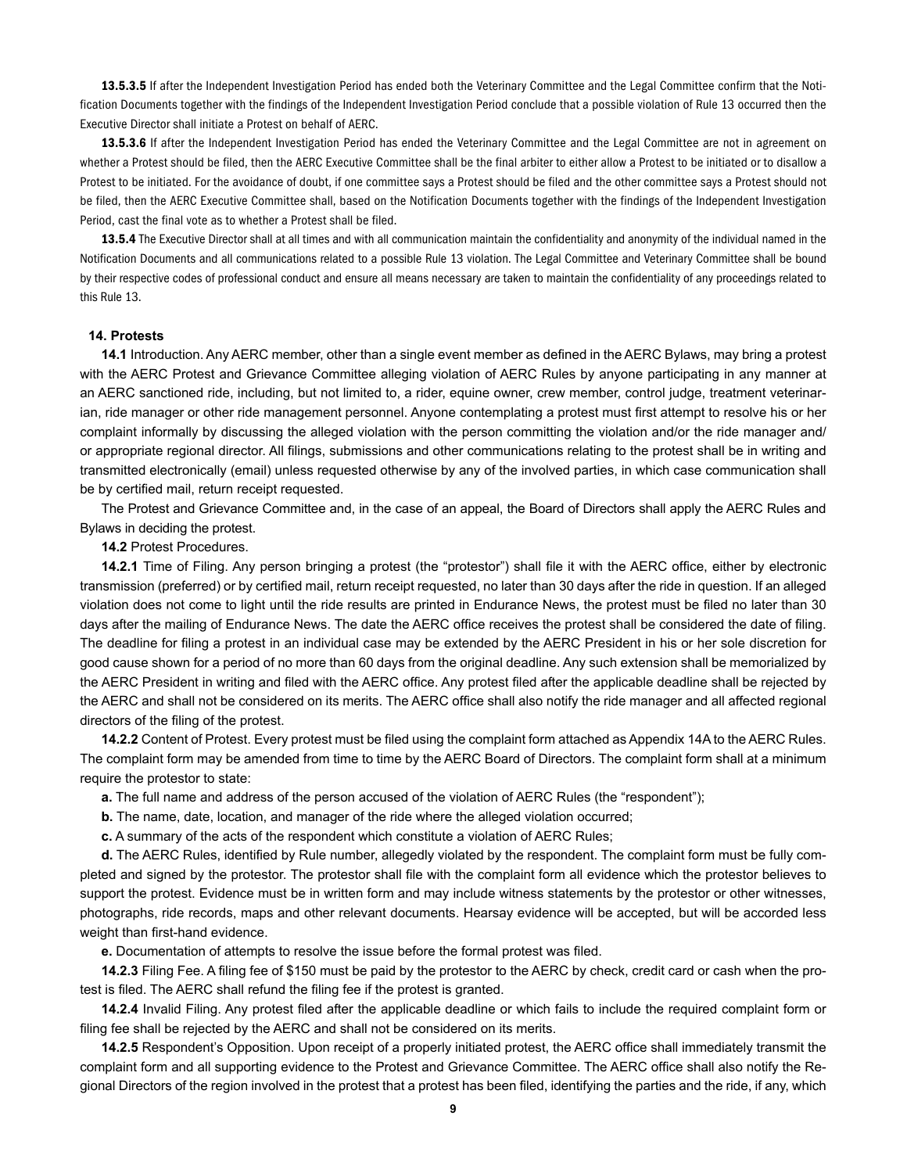13.5.3.5 If after the Independent Investigation Period has ended both the Veterinary Committee and the Legal Committee confirm that the Notification Documents together with the findings of the Independent Investigation Period conclude that a possible violation of Rule 13 occurred then the Executive Director shall initiate a Protest on behalf of AERC.

13.5.3.6 If after the Independent Investigation Period has ended the Veterinary Committee and the Legal Committee are not in agreement on whether a Protest should be filed, then the AERC Executive Committee shall be the final arbiter to either allow a Protest to be initiated or to disallow a Protest to be initiated. For the avoidance of doubt, if one committee says a Protest should be filed and the other committee says a Protest should not be filed, then the AERC Executive Committee shall, based on the Notification Documents together with the findings of the Independent Investigation Period, cast the final vote as to whether a Protest shall be filed.

13.5.4 The Executive Director shall at all times and with all communication maintain the confidentiality and anonymity of the individual named in the Notification Documents and all communications related to a possible Rule 13 violation. The Legal Committee and Veterinary Committee shall be bound by their respective codes of professional conduct and ensure all means necessary are taken to maintain the confidentiality of any proceedings related to this Rule 13.

#### **14. Protests**

**14.1** Introduction. Any AERC member, other than a single event member as defined in the AERC Bylaws, may bring a protest with the AERC Protest and Grievance Committee alleging violation of AERC Rules by anyone participating in any manner at an AERC sanctioned ride, including, but not limited to, a rider, equine owner, crew member, control judge, treatment veterinarian, ride manager or other ride management personnel. Anyone contemplating a protest must first attempt to resolve his or her complaint informally by discussing the alleged violation with the person committing the violation and/or the ride manager and/ or appropriate regional director. All filings, submissions and other communications relating to the protest shall be in writing and transmitted electronically (email) unless requested otherwise by any of the involved parties, in which case communication shall be by certified mail, return receipt requested.

The Protest and Grievance Committee and, in the case of an appeal, the Board of Directors shall apply the AERC Rules and Bylaws in deciding the protest.

#### **14.2** Protest Procedures.

**14.2.1** Time of Filing. Any person bringing a protest (the "protestor") shall file it with the AERC office, either by electronic transmission (preferred) or by certified mail, return receipt requested, no later than 30 days after the ride in question. If an alleged violation does not come to light until the ride results are printed in Endurance News, the protest must be filed no later than 30 days after the mailing of Endurance News. The date the AERC office receives the protest shall be considered the date of filing. The deadline for filing a protest in an individual case may be extended by the AERC President in his or her sole discretion for good cause shown for a period of no more than 60 days from the original deadline. Any such extension shall be memorialized by the AERC President in writing and filed with the AERC office. Any protest filed after the applicable deadline shall be rejected by the AERC and shall not be considered on its merits. The AERC office shall also notify the ride manager and all affected regional directors of the filing of the protest.

**14.2.2** Content of Protest. Every protest must be filed using the complaint form attached as Appendix 14A to the AERC Rules. The complaint form may be amended from time to time by the AERC Board of Directors. The complaint form shall at a minimum require the protestor to state:

**a.** The full name and address of the person accused of the violation of AERC Rules (the "respondent");

**b.** The name, date, location, and manager of the ride where the alleged violation occurred;

**c.** A summary of the acts of the respondent which constitute a violation of AERC Rules;

**d.** The AERC Rules, identified by Rule number, allegedly violated by the respondent. The complaint form must be fully completed and signed by the protestor. The protestor shall file with the complaint form all evidence which the protestor believes to support the protest. Evidence must be in written form and may include witness statements by the protestor or other witnesses, photographs, ride records, maps and other relevant documents. Hearsay evidence will be accepted, but will be accorded less weight than first-hand evidence.

**e.** Documentation of attempts to resolve the issue before the formal protest was filed.

**14.2.3** Filing Fee. A filing fee of \$150 must be paid by the protestor to the AERC by check, credit card or cash when the protest is filed. The AERC shall refund the filing fee if the protest is granted.

**14.2.4** Invalid Filing. Any protest filed after the applicable deadline or which fails to include the required complaint form or filing fee shall be rejected by the AERC and shall not be considered on its merits.

**14.2.5** Respondent's Opposition. Upon receipt of a properly initiated protest, the AERC office shall immediately transmit the complaint form and all supporting evidence to the Protest and Grievance Committee. The AERC office shall also notify the Regional Directors of the region involved in the protest that a protest has been filed, identifying the parties and the ride, if any, which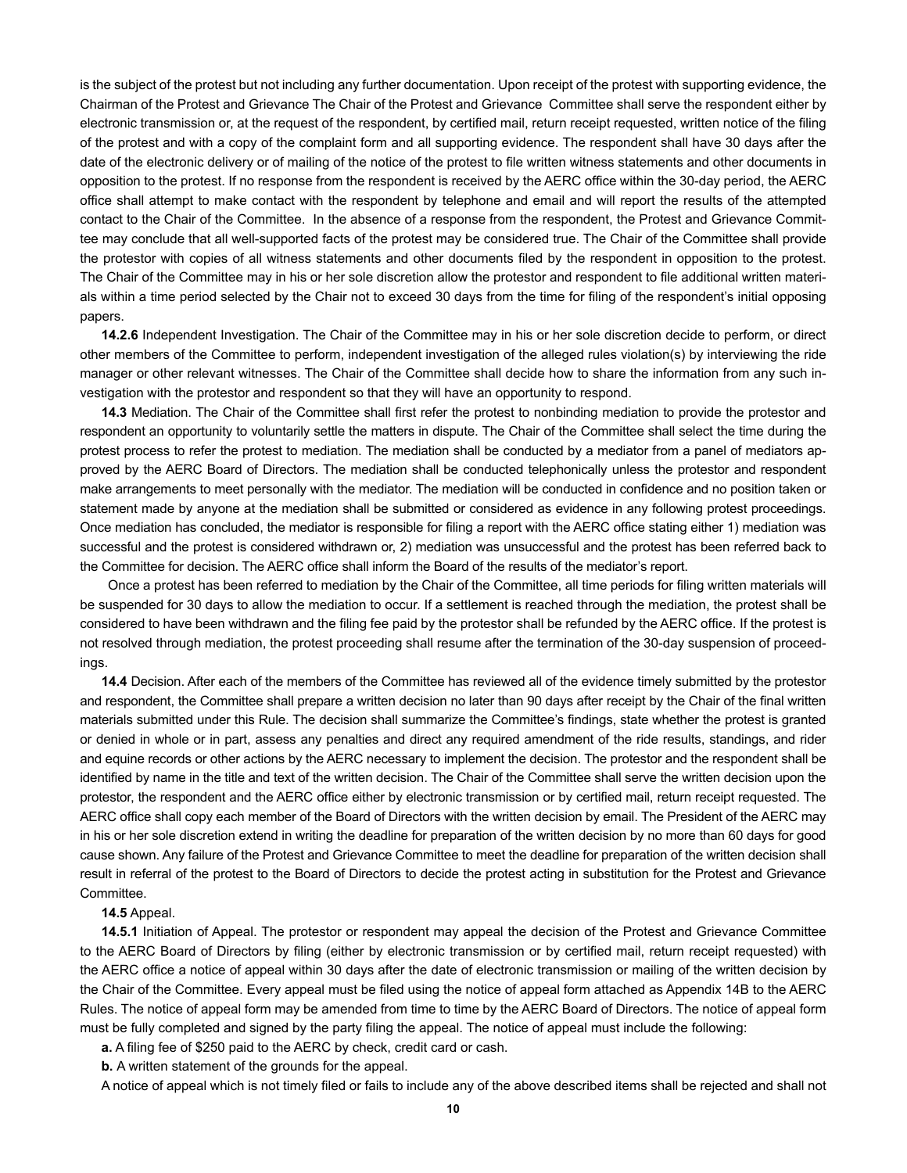is the subject of the protest but not including any further documentation. Upon receipt of the protest with supporting evidence, the Chairman of the Protest and Grievance The Chair of the Protest and Grievance Committee shall serve the respondent either by electronic transmission or, at the request of the respondent, by certified mail, return receipt requested, written notice of the filing of the protest and with a copy of the complaint form and all supporting evidence. The respondent shall have 30 days after the date of the electronic delivery or of mailing of the notice of the protest to file written witness statements and other documents in opposition to the protest. If no response from the respondent is received by the AERC office within the 30-day period, the AERC office shall attempt to make contact with the respondent by telephone and email and will report the results of the attempted contact to the Chair of the Committee. In the absence of a response from the respondent, the Protest and Grievance Committee may conclude that all well-supported facts of the protest may be considered true. The Chair of the Committee shall provide the protestor with copies of all witness statements and other documents filed by the respondent in opposition to the protest. The Chair of the Committee may in his or her sole discretion allow the protestor and respondent to file additional written materials within a time period selected by the Chair not to exceed 30 days from the time for filing of the respondent's initial opposing papers.

**14.2.6** Independent Investigation. The Chair of the Committee may in his or her sole discretion decide to perform, or direct other members of the Committee to perform, independent investigation of the alleged rules violation(s) by interviewing the ride manager or other relevant witnesses. The Chair of the Committee shall decide how to share the information from any such investigation with the protestor and respondent so that they will have an opportunity to respond.

**14.3** Mediation. The Chair of the Committee shall first refer the protest to nonbinding mediation to provide the protestor and respondent an opportunity to voluntarily settle the matters in dispute. The Chair of the Committee shall select the time during the protest process to refer the protest to mediation. The mediation shall be conducted by a mediator from a panel of mediators approved by the AERC Board of Directors. The mediation shall be conducted telephonically unless the protestor and respondent make arrangements to meet personally with the mediator. The mediation will be conducted in confidence and no position taken or statement made by anyone at the mediation shall be submitted or considered as evidence in any following protest proceedings. Once mediation has concluded, the mediator is responsible for filing a report with the AERC office stating either 1) mediation was successful and the protest is considered withdrawn or, 2) mediation was unsuccessful and the protest has been referred back to the Committee for decision. The AERC office shall inform the Board of the results of the mediator's report.

Once a protest has been referred to mediation by the Chair of the Committee, all time periods for filing written materials will be suspended for 30 days to allow the mediation to occur. If a settlement is reached through the mediation, the protest shall be considered to have been withdrawn and the filing fee paid by the protestor shall be refunded by the AERC office. If the protest is not resolved through mediation, the protest proceeding shall resume after the termination of the 30-day suspension of proceedings.

**14.4** Decision. After each of the members of the Committee has reviewed all of the evidence timely submitted by the protestor and respondent, the Committee shall prepare a written decision no later than 90 days after receipt by the Chair of the final written materials submitted under this Rule. The decision shall summarize the Committee's findings, state whether the protest is granted or denied in whole or in part, assess any penalties and direct any required amendment of the ride results, standings, and rider and equine records or other actions by the AERC necessary to implement the decision. The protestor and the respondent shall be identified by name in the title and text of the written decision. The Chair of the Committee shall serve the written decision upon the protestor, the respondent and the AERC office either by electronic transmission or by certified mail, return receipt requested. The AERC office shall copy each member of the Board of Directors with the written decision by email. The President of the AERC may in his or her sole discretion extend in writing the deadline for preparation of the written decision by no more than 60 days for good cause shown. Any failure of the Protest and Grievance Committee to meet the deadline for preparation of the written decision shall result in referral of the protest to the Board of Directors to decide the protest acting in substitution for the Protest and Grievance Committee.

#### **14.5** Appeal.

**14.5.1** Initiation of Appeal. The protestor or respondent may appeal the decision of the Protest and Grievance Committee to the AERC Board of Directors by filing (either by electronic transmission or by certified mail, return receipt requested) with the AERC office a notice of appeal within 30 days after the date of electronic transmission or mailing of the written decision by the Chair of the Committee. Every appeal must be filed using the notice of appeal form attached as Appendix 14B to the AERC Rules. The notice of appeal form may be amended from time to time by the AERC Board of Directors. The notice of appeal form must be fully completed and signed by the party filing the appeal. The notice of appeal must include the following:

**a.** A filing fee of \$250 paid to the AERC by check, credit card or cash.

**b.** A written statement of the grounds for the appeal.

A notice of appeal which is not timely filed or fails to include any of the above described items shall be rejected and shall not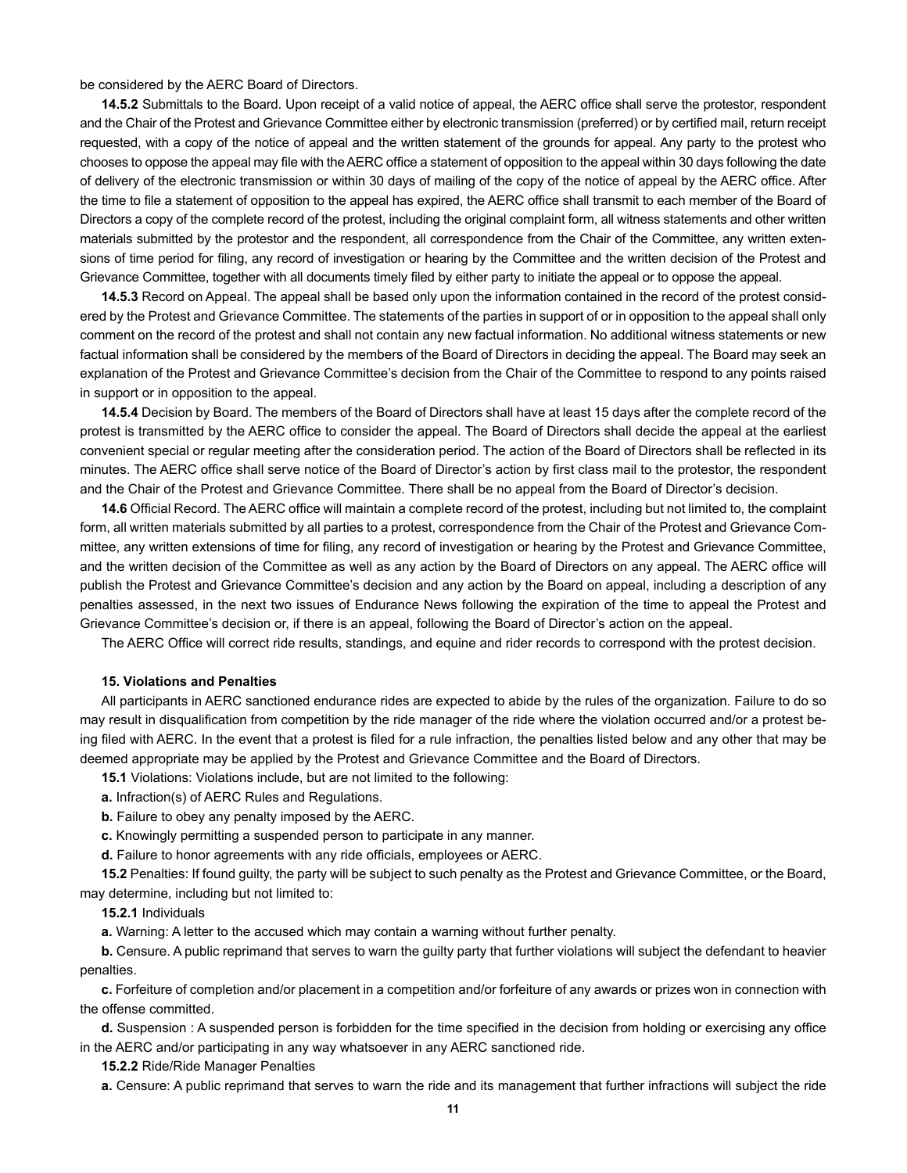be considered by the AERC Board of Directors.

**14.5.2** Submittals to the Board. Upon receipt of a valid notice of appeal, the AERC office shall serve the protestor, respondent and the Chair of the Protest and Grievance Committee either by electronic transmission (preferred) or by certified mail, return receipt requested, with a copy of the notice of appeal and the written statement of the grounds for appeal. Any party to the protest who chooses to oppose the appeal may file with the AERC office a statement of opposition to the appeal within 30 days following the date of delivery of the electronic transmission or within 30 days of mailing of the copy of the notice of appeal by the AERC office. After the time to file a statement of opposition to the appeal has expired, the AERC office shall transmit to each member of the Board of Directors a copy of the complete record of the protest, including the original complaint form, all witness statements and other written materials submitted by the protestor and the respondent, all correspondence from the Chair of the Committee, any written extensions of time period for filing, any record of investigation or hearing by the Committee and the written decision of the Protest and Grievance Committee, together with all documents timely filed by either party to initiate the appeal or to oppose the appeal.

**14.5.3** Record on Appeal. The appeal shall be based only upon the information contained in the record of the protest considered by the Protest and Grievance Committee. The statements of the parties in support of or in opposition to the appeal shall only comment on the record of the protest and shall not contain any new factual information. No additional witness statements or new factual information shall be considered by the members of the Board of Directors in deciding the appeal. The Board may seek an explanation of the Protest and Grievance Committee's decision from the Chair of the Committee to respond to any points raised in support or in opposition to the appeal.

**14.5.4** Decision by Board. The members of the Board of Directors shall have at least 15 days after the complete record of the protest is transmitted by the AERC office to consider the appeal. The Board of Directors shall decide the appeal at the earliest convenient special or regular meeting after the consideration period. The action of the Board of Directors shall be reflected in its minutes. The AERC office shall serve notice of the Board of Director's action by first class mail to the protestor, the respondent and the Chair of the Protest and Grievance Committee. There shall be no appeal from the Board of Director's decision.

**14.6** Official Record. The AERC office will maintain a complete record of the protest, including but not limited to, the complaint form, all written materials submitted by all parties to a protest, correspondence from the Chair of the Protest and Grievance Committee, any written extensions of time for filing, any record of investigation or hearing by the Protest and Grievance Committee, and the written decision of the Committee as well as any action by the Board of Directors on any appeal. The AERC office will publish the Protest and Grievance Committee's decision and any action by the Board on appeal, including a description of any penalties assessed, in the next two issues of Endurance News following the expiration of the time to appeal the Protest and Grievance Committee's decision or, if there is an appeal, following the Board of Director's action on the appeal.

The AERC Office will correct ride results, standings, and equine and rider records to correspond with the protest decision.

#### **15. Violations and Penalties**

All participants in AERC sanctioned endurance rides are expected to abide by the rules of the organization. Failure to do so may result in disqualification from competition by the ride manager of the ride where the violation occurred and/or a protest being filed with AERC. In the event that a protest is filed for a rule infraction, the penalties listed below and any other that may be deemed appropriate may be applied by the Protest and Grievance Committee and the Board of Directors.

**15.1** Violations: Violations include, but are not limited to the following:

**a.** Infraction(s) of AERC Rules and Regulations.

**b.** Failure to obey any penalty imposed by the AERC.

**c.** Knowingly permitting a suspended person to participate in any manner.

**d.** Failure to honor agreements with any ride officials, employees or AERC.

**15.2** Penalties: If found guilty, the party will be subject to such penalty as the Protest and Grievance Committee, or the Board, may determine, including but not limited to:

**15.2.1** Individuals

**a.** Warning: A letter to the accused which may contain a warning without further penalty.

**b.** Censure. A public reprimand that serves to warn the guilty party that further violations will subject the defendant to heavier penalties.

**c.** Forfeiture of completion and/or placement in a competition and/or forfeiture of any awards or prizes won in connection with the offense committed.

**d.** Suspension : A suspended person is forbidden for the time specified in the decision from holding or exercising any office in the AERC and/or participating in any way whatsoever in any AERC sanctioned ride.

**15.2.2** Ride/Ride Manager Penalties

**a.** Censure: A public reprimand that serves to warn the ride and its management that further infractions will subject the ride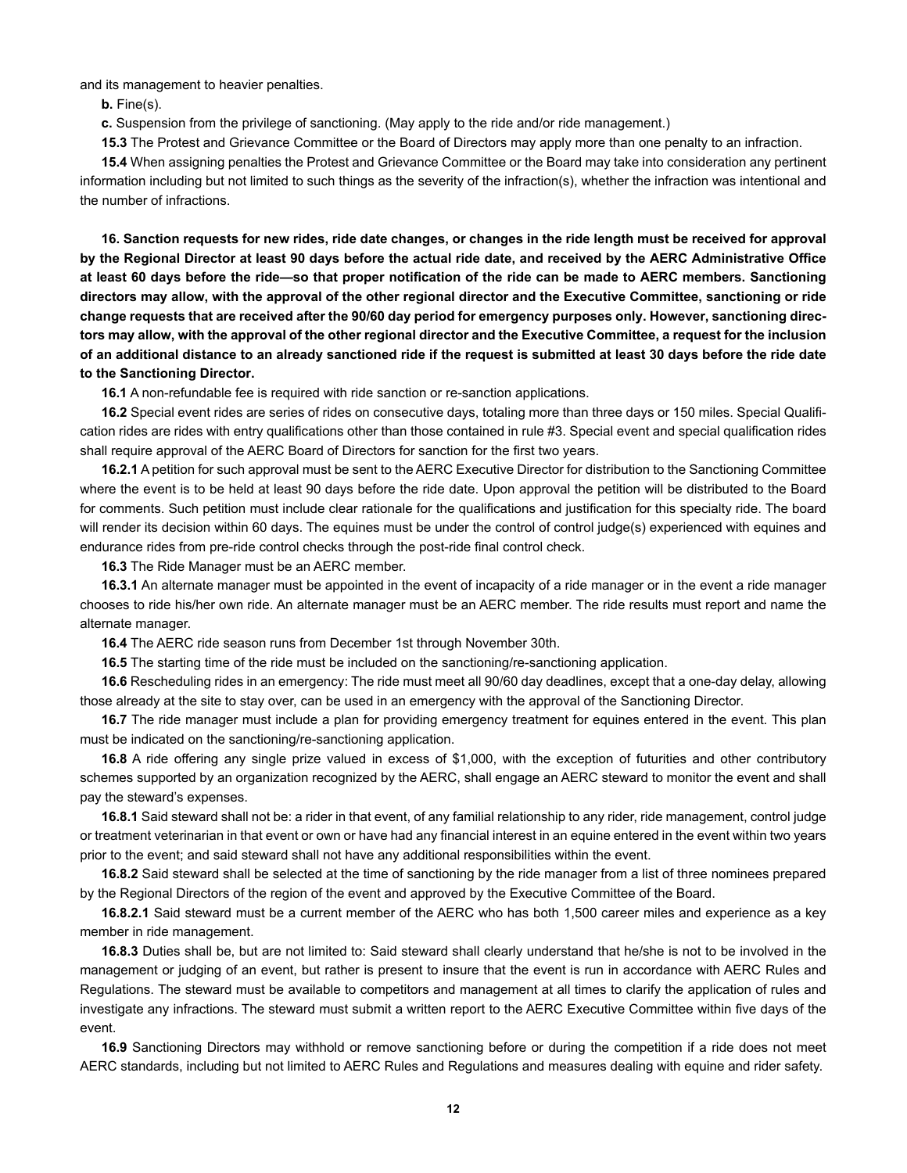and its management to heavier penalties.

**b.** Fine(s).

**c.** Suspension from the privilege of sanctioning. (May apply to the ride and/or ride management.)

**15.3** The Protest and Grievance Committee or the Board of Directors may apply more than one penalty to an infraction.

**15.4** When assigning penalties the Protest and Grievance Committee or the Board may take into consideration any pertinent information including but not limited to such things as the severity of the infraction(s), whether the infraction was intentional and the number of infractions.

**16. Sanction requests for new rides, ride date changes, or changes in the ride length must be received for approval by the Regional Director at least 90 days before the actual ride date, and received by the AERC Administrative Office at least 60 days before the ride—so that proper notification of the ride can be made to AERC members. Sanctioning directors may allow, with the approval of the other regional director and the Executive Committee, sanctioning or ride change requests that are received after the 90/60 day period for emergency purposes only. However, sanctioning directors may allow, with the approval of the other regional director and the Executive Committee, a request for the inclusion of an additional distance to an already sanctioned ride if the request is submitted at least 30 days before the ride date to the Sanctioning Director.**

**16.1** A non-refundable fee is required with ride sanction or re-sanction applications.

**16.2** Special event rides are series of rides on consecutive days, totaling more than three days or 150 miles. Special Qualification rides are rides with entry qualifications other than those contained in rule #3. Special event and special qualification rides shall require approval of the AERC Board of Directors for sanction for the first two years.

**16.2.1** A petition for such approval must be sent to the AERC Executive Director for distribution to the Sanctioning Committee where the event is to be held at least 90 days before the ride date. Upon approval the petition will be distributed to the Board for comments. Such petition must include clear rationale for the qualifications and justification for this specialty ride. The board will render its decision within 60 days. The equines must be under the control of control judge(s) experienced with equines and endurance rides from pre-ride control checks through the post-ride final control check.

**16.3** The Ride Manager must be an AERC member.

**16.3.1** An alternate manager must be appointed in the event of incapacity of a ride manager or in the event a ride manager chooses to ride his/her own ride. An alternate manager must be an AERC member. The ride results must report and name the alternate manager.

**16.4** The AERC ride season runs from December 1st through November 30th.

**16.5** The starting time of the ride must be included on the sanctioning/re-sanctioning application.

**16.6** Rescheduling rides in an emergency: The ride must meet all 90/60 day deadlines, except that a one-day delay, allowing those already at the site to stay over, can be used in an emergency with the approval of the Sanctioning Director.

**16.7** The ride manager must include a plan for providing emergency treatment for equines entered in the event. This plan must be indicated on the sanctioning/re-sanctioning application.

**16.8** A ride offering any single prize valued in excess of \$1,000, with the exception of futurities and other contributory schemes supported by an organization recognized by the AERC, shall engage an AERC steward to monitor the event and shall pay the steward's expenses.

**16.8.1** Said steward shall not be: a rider in that event, of any familial relationship to any rider, ride management, control judge or treatment veterinarian in that event or own or have had any financial interest in an equine entered in the event within two years prior to the event; and said steward shall not have any additional responsibilities within the event.

**16.8.2** Said steward shall be selected at the time of sanctioning by the ride manager from a list of three nominees prepared by the Regional Directors of the region of the event and approved by the Executive Committee of the Board.

**16.8.2.1** Said steward must be a current member of the AERC who has both 1,500 career miles and experience as a key member in ride management.

**16.8.3** Duties shall be, but are not limited to: Said steward shall clearly understand that he/she is not to be involved in the management or judging of an event, but rather is present to insure that the event is run in accordance with AERC Rules and Regulations. The steward must be available to competitors and management at all times to clarify the application of rules and investigate any infractions. The steward must submit a written report to the AERC Executive Committee within five days of the event.

**16.9** Sanctioning Directors may withhold or remove sanctioning before or during the competition if a ride does not meet AERC standards, including but not limited to AERC Rules and Regulations and measures dealing with equine and rider safety.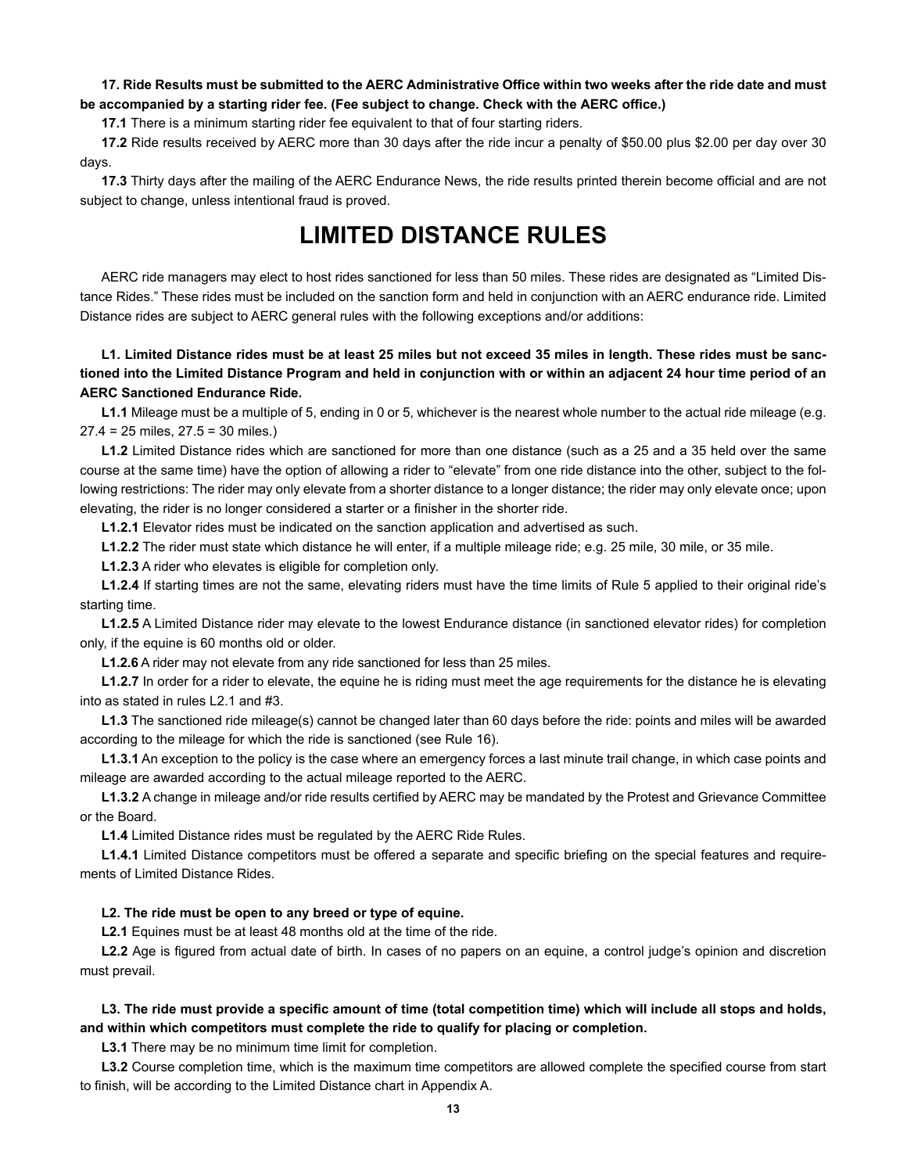### **17. Ride Results must be submitted to the AERC Administrative Office within two weeks after the ride date and must be accompanied by a starting rider fee. (Fee subject to change. Check with the AERC office.)**

**17.1** There is a minimum starting rider fee equivalent to that of four starting riders.

**17.2** Ride results received by AERC more than 30 days after the ride incur a penalty of \$50.00 plus \$2.00 per day over 30 days.

**17.3** Thirty days after the mailing of the AERC Endurance News, the ride results printed therein become official and are not subject to change, unless intentional fraud is proved.

# **LIMITED DISTANCE RULES**

AERC ride managers may elect to host rides sanctioned for less than 50 miles. These rides are designated as "Limited Distance Rides." These rides must be included on the sanction form and held in conjunction with an AERC endurance ride. Limited Distance rides are subject to AERC general rules with the following exceptions and/or additions:

# **L1. Limited Distance rides must be at least 25 miles but not exceed 35 miles in length. These rides must be sanctioned into the Limited Distance Program and held in conjunction with or within an adjacent 24 hour time period of an AERC Sanctioned Endurance Ride.**

**L1.1** Mileage must be a multiple of 5, ending in 0 or 5, whichever is the nearest whole number to the actual ride mileage (e.g. 27.4 = 25 miles, 27.5 = 30 miles.)

**L1.2** Limited Distance rides which are sanctioned for more than one distance (such as a 25 and a 35 held over the same course at the same time) have the option of allowing a rider to "elevate" from one ride distance into the other, subject to the following restrictions: The rider may only elevate from a shorter distance to a longer distance; the rider may only elevate once; upon elevating, the rider is no longer considered a starter or a finisher in the shorter ride.

**L1.2.1** Elevator rides must be indicated on the sanction application and advertised as such.

**L1.2.2** The rider must state which distance he will enter, if a multiple mileage ride; e.g. 25 mile, 30 mile, or 35 mile.

**L1.2.3** A rider who elevates is eligible for completion only.

**L1.2.4** If starting times are not the same, elevating riders must have the time limits of Rule 5 applied to their original ride's starting time.

**L1.2.5** A Limited Distance rider may elevate to the lowest Endurance distance (in sanctioned elevator rides) for completion only, if the equine is 60 months old or older.

**L1.2.6** A rider may not elevate from any ride sanctioned for less than 25 miles.

**L1.2.7** In order for a rider to elevate, the equine he is riding must meet the age requirements for the distance he is elevating into as stated in rules L2.1 and #3.

**L1.3** The sanctioned ride mileage(s) cannot be changed later than 60 days before the ride: points and miles will be awarded according to the mileage for which the ride is sanctioned (see Rule 16).

**L1.3.1** An exception to the policy is the case where an emergency forces a last minute trail change, in which case points and mileage are awarded according to the actual mileage reported to the AERC.

**L1.3.2** A change in mileage and/or ride results certified by AERC may be mandated by the Protest and Grievance Committee or the Board.

**L1.4** Limited Distance rides must be regulated by the AERC Ride Rules.

**L1.4.1** Limited Distance competitors must be offered a separate and specific briefing on the special features and requirements of Limited Distance Rides.

#### **L2. The ride must be open to any breed or type of equine.**

**L2.1** Equines must be at least 48 months old at the time of the ride.

**L2.2** Age is figured from actual date of birth. In cases of no papers on an equine, a control judge's opinion and discretion must prevail.

## **L3. The ride must provide a specific amount of time (total competition time) which will include all stops and holds, and within which competitors must complete the ride to qualify for placing or completion.**

**L3.1** There may be no minimum time limit for completion.

**L3.2** Course completion time, which is the maximum time competitors are allowed complete the specified course from start to finish, will be according to the Limited Distance chart in Appendix A.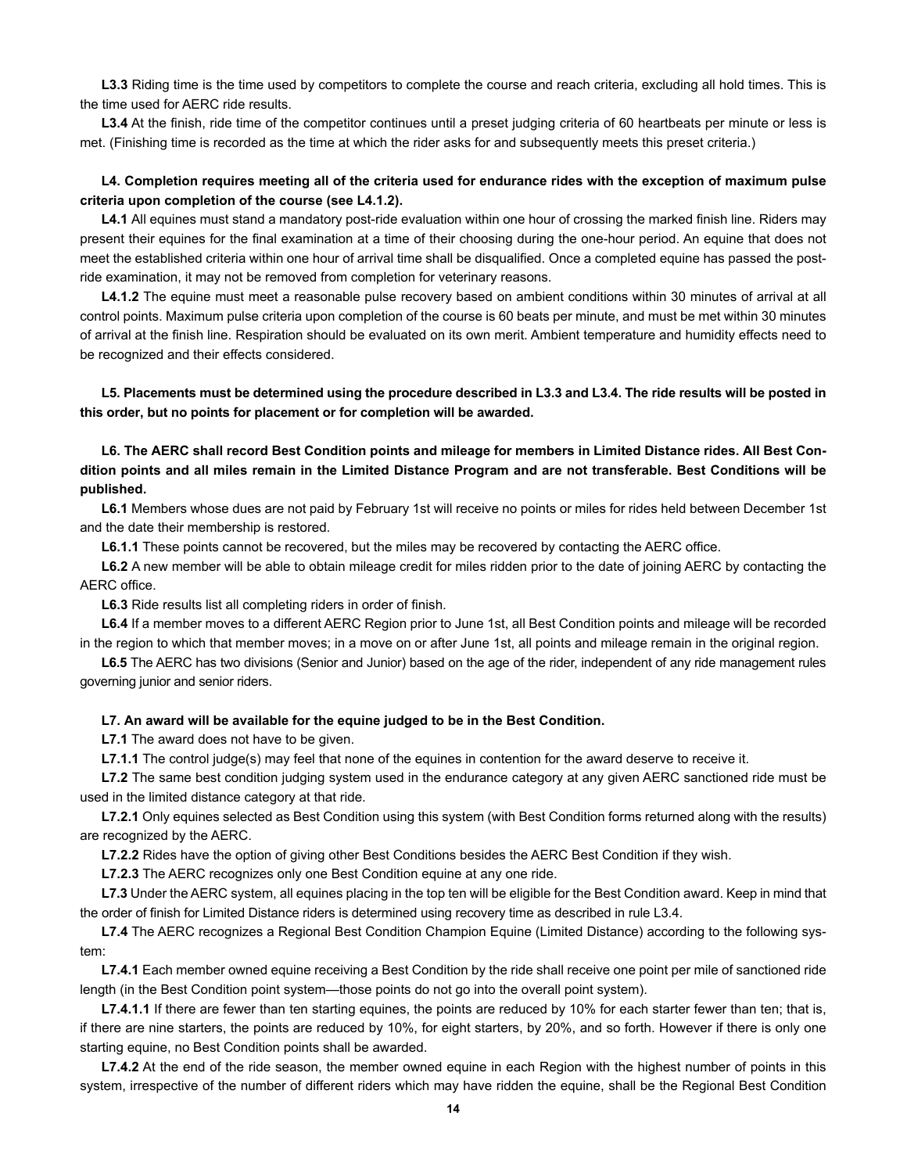**L3.3** Riding time is the time used by competitors to complete the course and reach criteria, excluding all hold times. This is the time used for AERC ride results.

L3.4 At the finish, ride time of the competitor continues until a preset judging criteria of 60 heartbeats per minute or less is met. (Finishing time is recorded as the time at which the rider asks for and subsequently meets this preset criteria.)

## **L4. Completion requires meeting all of the criteria used for endurance rides with the exception of maximum pulse criteria upon completion of the course (see L4.1.2).**

**L4.1** All equines must stand a mandatory post-ride evaluation within one hour of crossing the marked finish line. Riders may present their equines for the final examination at a time of their choosing during the one-hour period. An equine that does not meet the established criteria within one hour of arrival time shall be disqualified. Once a completed equine has passed the postride examination, it may not be removed from completion for veterinary reasons.

**L4.1.2** The equine must meet a reasonable pulse recovery based on ambient conditions within 30 minutes of arrival at all control points. Maximum pulse criteria upon completion of the course is 60 beats per minute, and must be met within 30 minutes of arrival at the finish line. Respiration should be evaluated on its own merit. Ambient temperature and humidity effects need to be recognized and their effects considered.

**L5. Placements must be determined using the procedure described in L3.3 and L3.4. The ride results will be posted in this order, but no points for placement or for completion will be awarded.**

**L6. The AERC shall record Best Condition points and mileage for members in Limited Distance rides. All Best Condition points and all miles remain in the Limited Distance Program and are not transferable. Best Conditions will be published.**

**L6.1** Members whose dues are not paid by February 1st will receive no points or miles for rides held between December 1st and the date their membership is restored.

**L6.1.1** These points cannot be recovered, but the miles may be recovered by contacting the AERC office.

**L6.2** A new member will be able to obtain mileage credit for miles ridden prior to the date of joining AERC by contacting the AERC office.

**L6.3** Ride results list all completing riders in order of finish.

**L6.4** If a member moves to a different AERC Region prior to June 1st, all Best Condition points and mileage will be recorded in the region to which that member moves; in a move on or after June 1st, all points and mileage remain in the original region.

**L6.5** The AERC has two divisions (Senior and Junior) based on the age of the rider, independent of any ride management rules governing junior and senior riders.

#### **L7. An award will be available for the equine judged to be in the Best Condition.**

**L7.1** The award does not have to be given.

**L7.1.1** The control judge(s) may feel that none of the equines in contention for the award deserve to receive it.

**L7.2** The same best condition judging system used in the endurance category at any given AERC sanctioned ride must be used in the limited distance category at that ride.

**L7.2.1** Only equines selected as Best Condition using this system (with Best Condition forms returned along with the results) are recognized by the AERC.

**L7.2.2** Rides have the option of giving other Best Conditions besides the AERC Best Condition if they wish.

**L7.2.3** The AERC recognizes only one Best Condition equine at any one ride.

**L7.3** Under the AERC system, all equines placing in the top ten will be eligible for the Best Condition award. Keep in mind that the order of finish for Limited Distance riders is determined using recovery time as described in rule L3.4.

**L7.4** The AERC recognizes a Regional Best Condition Champion Equine (Limited Distance) according to the following system:

**L7.4.1** Each member owned equine receiving a Best Condition by the ride shall receive one point per mile of sanctioned ride length (in the Best Condition point system—those points do not go into the overall point system).

**L7.4.1.1** If there are fewer than ten starting equines, the points are reduced by 10% for each starter fewer than ten; that is, if there are nine starters, the points are reduced by 10%, for eight starters, by 20%, and so forth. However if there is only one starting equine, no Best Condition points shall be awarded.

**L7.4.2** At the end of the ride season, the member owned equine in each Region with the highest number of points in this system, irrespective of the number of different riders which may have ridden the equine, shall be the Regional Best Condition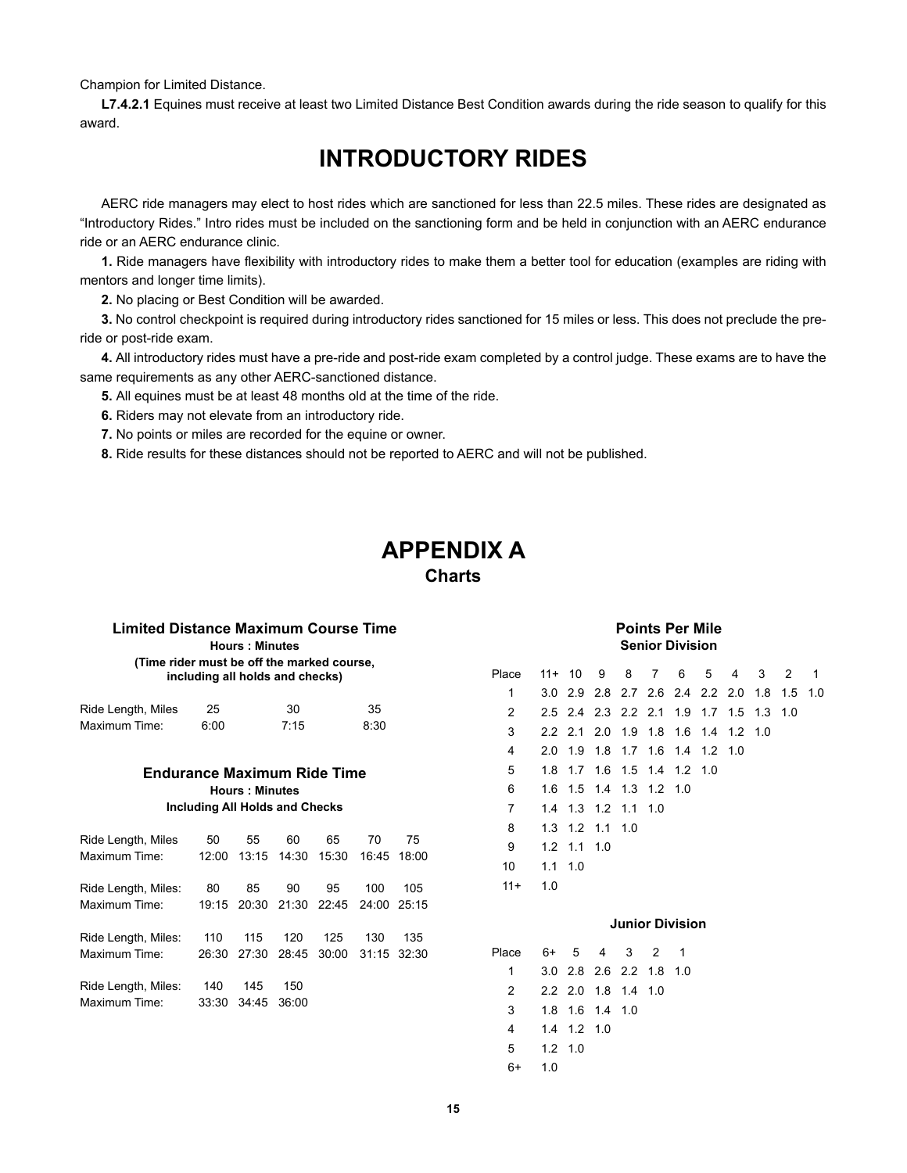Champion for Limited Distance.

**L7.4.2.1** Equines must receive at least two Limited Distance Best Condition awards during the ride season to qualify for this award.

# **INTRODUCTORY RIDES**

AERC ride managers may elect to host rides which are sanctioned for less than 22.5 miles. These rides are designated as "Introductory Rides." Intro rides must be included on the sanctioning form and be held in conjunction with an AERC endurance ride or an AERC endurance clinic.

**1.** Ride managers have flexibility with introductory rides to make them a better tool for education (examples are riding with mentors and longer time limits).

**2.** No placing or Best Condition will be awarded.

**3.** No control checkpoint is required during introductory rides sanctioned for 15 miles or less. This does not preclude the preride or post-ride exam.

**4.** All introductory rides must have a pre-ride and post-ride exam completed by a control judge. These exams are to have the same requirements as any other AERC-sanctioned distance.

**5.** All equines must be at least 48 months old at the time of the ride.

**6.** Riders may not elevate from an introductory ride.

**7.** No points or miles are recorded for the equine or owner.

**8.** Ride results for these distances should not be reported to AERC and will not be published.

# **APPENDIX A Charts**

| Limited Distance Maximum Course Time       |                                       | <b>Points Per Mile</b><br><b>Senior Division</b> |       |       |                         |       |                        |               |                 |                 |           |                 |    |                                         |   |     |     |     |
|--------------------------------------------|---------------------------------------|--------------------------------------------------|-------|-------|-------------------------|-------|------------------------|---------------|-----------------|-----------------|-----------|-----------------|----|-----------------------------------------|---|-----|-----|-----|
| (Time rider must be off the marked course, | including all holds and checks)       |                                                  |       |       |                         |       | $11 +$                 | 10            | 9               | 8               |           | 6               | 5  | 4                                       | 3 | 2   | -1  |     |
|                                            |                                       |                                                  |       |       |                         |       | 1                      |               |                 |                 |           |                 |    | 3.0 2.9 2.8 2.7 2.6 2.4 2.2 2.0         |   | 1.8 | 1.5 | 1.0 |
| Ride Length, Miles                         | 25                                    |                                                  | 30    |       | 35                      |       | 2                      |               |                 |                 |           |                 |    | 2.5 2.4 2.3 2.2 2.1 1.9 1.7 1.5 1.3 1.0 |   |     |     |     |
| Maximum Time:                              | 6:00                                  |                                                  | 7:15  |       | 8:30                    |       | 3                      |               |                 |                 |           |                 |    | 2.2 2.1 2.0 1.9 1.8 1.6 1.4 1.2 1.0     |   |     |     |     |
|                                            |                                       |                                                  |       |       |                         |       | 4                      | 2.0           |                 |                 |           |                 |    | 1.9 1.8 1.7 1.6 1.4 1.2 1.0             |   |     |     |     |
| <b>Endurance Maximum Ride Time</b>         |                                       | 5                                                | 1.8   |       | 1.7 1.6 1.5 1.4 1.2 1.0 |       |                        |               |                 |                 |           |                 |    |                                         |   |     |     |     |
|                                            |                                       | 6                                                |       |       | 1.6 1.5 1.4 1.3 1.2 1.0 |       |                        |               |                 |                 |           |                 |    |                                         |   |     |     |     |
|                                            | <b>Including All Holds and Checks</b> | <b>Hours: Minutes</b>                            |       |       |                         |       | 7                      | 1.4           |                 | 1.3 1.2 1.1 1.0 |           |                 |    |                                         |   |     |     |     |
|                                            |                                       |                                                  |       |       |                         |       | 8                      |               |                 | 1.3 1.2 1.1 1.0 |           |                 |    |                                         |   |     |     |     |
| Ride Length, Miles                         | 50                                    | 55                                               | 60    | 65    | 70                      | 75    | 9                      | 1.2           | $1.1$ 1.0       |                 |           |                 |    |                                         |   |     |     |     |
| Maximum Time:                              | 12:00                                 | 13:15                                            | 14:30 | 15:30 | 16:45                   | 18:00 | 10                     |               | $1.1 \quad 1.0$ |                 |           |                 |    |                                         |   |     |     |     |
|                                            |                                       |                                                  |       |       |                         |       | $11+$                  | 1.0           |                 |                 |           |                 |    |                                         |   |     |     |     |
| Ride Length, Miles:                        | 80                                    | 85                                               | 90    | 95    | 100                     | 105   |                        |               |                 |                 |           |                 |    |                                         |   |     |     |     |
| Maximum Time:                              | 19:15                                 | 20:30                                            | 21:30 | 22:45 | 24:00                   | 25:15 |                        |               |                 |                 |           |                 |    |                                         |   |     |     |     |
|                                            |                                       |                                                  |       |       |                         |       | <b>Junior Division</b> |               |                 |                 |           |                 |    |                                         |   |     |     |     |
| Ride Length, Miles:                        | 110                                   | 115                                              | 120   | 125   | 130                     | 135   |                        |               |                 |                 |           |                 |    |                                         |   |     |     |     |
| Maximum Time:                              | 26:30                                 | 27:30                                            | 28:45 | 30:00 | 31:15                   | 32:30 | Place                  | 6+            | 5               | 4               | 3         | 2               | -1 |                                         |   |     |     |     |
|                                            |                                       |                                                  |       |       |                         |       | 1                      | 3.0           | 2.8             |                 |           | 2.6 2.2 1.8 1.0 |    |                                         |   |     |     |     |
| Ride Length, Miles:                        | 140                                   | 145                                              | 150   |       |                         |       | 2                      | $2.2^{\circ}$ | 2.0             | 1.8             | $1.4$ 1.0 |                 |    |                                         |   |     |     |     |
| Maximum Time:                              | 33:30                                 | 34:45                                            | 36:00 |       |                         |       | 3                      |               |                 | 1.8 1.6 1.4 1.0 |           |                 |    |                                         |   |     |     |     |

**15**

 4 1.4 1.2 1.0 5 1.2 1.0 6+ 1.0